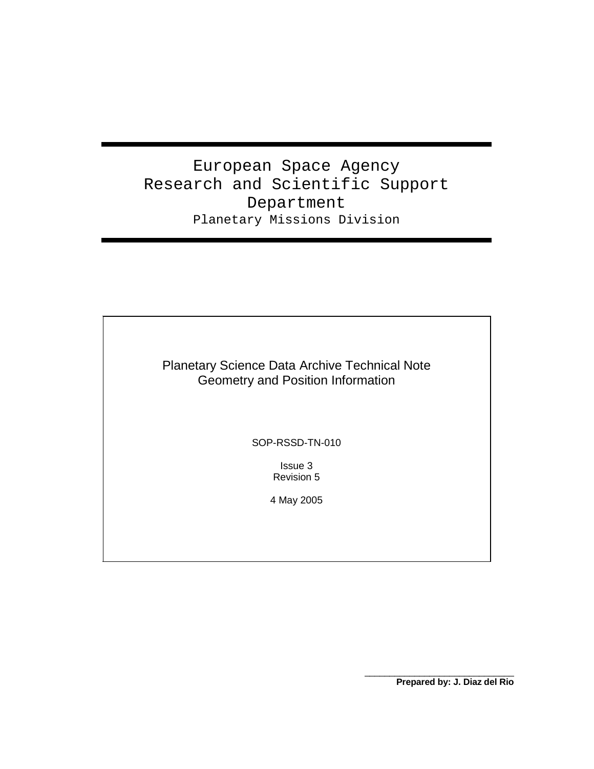# European Space Agency Research and Scientific Support Department Planetary Missions Division

## Planetary Science Data Archive Technical Note Geometry and Position Information

## SOP-RSSD-TN-010

Issue 3 Revision 5

4 May 2005

**Prepared by: J. Diaz del Rio** 

\_\_\_\_\_\_\_\_\_\_\_\_\_\_\_\_\_\_\_\_\_\_\_\_\_\_\_\_\_\_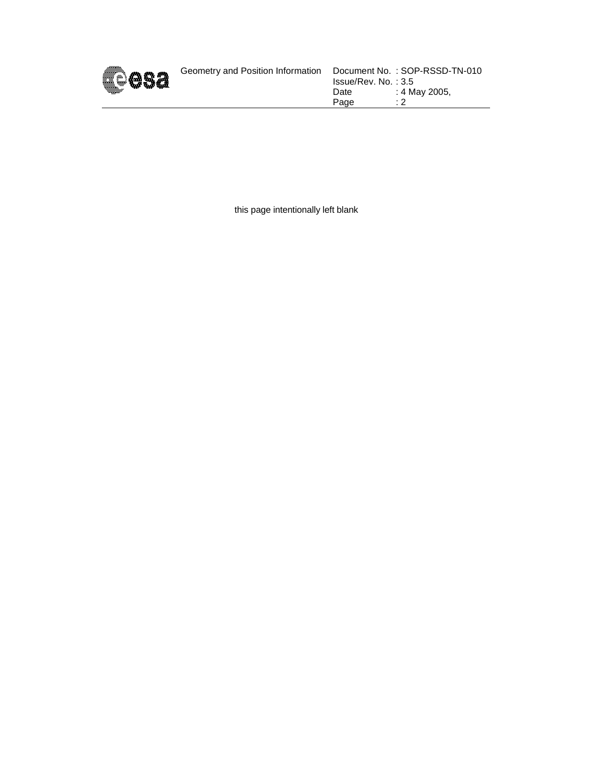

this page intentionally left blank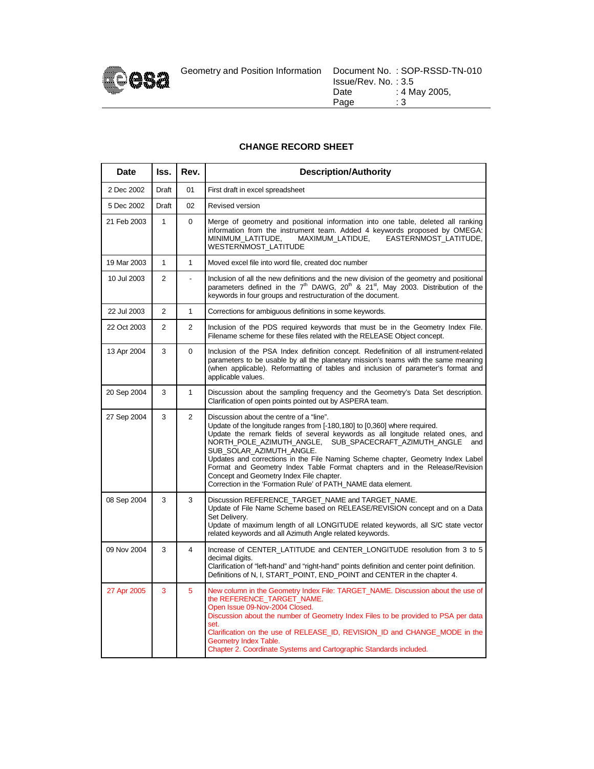

Geometry and Position Information Document No.

Issue/Rev. No. Date Page : SOP-RSSD-TN-010 : 3.5 : 4 May 2005, : 3

#### **CHANGE RECORD SHEET**

| <b>Date</b> | lss.           | Rev.           | <b>Description/Authority</b>                                                                                                                                                                                                                                                                                                                                                                                                                                                                                               |  |
|-------------|----------------|----------------|----------------------------------------------------------------------------------------------------------------------------------------------------------------------------------------------------------------------------------------------------------------------------------------------------------------------------------------------------------------------------------------------------------------------------------------------------------------------------------------------------------------------------|--|
| 2 Dec 2002  | Draft          | 01             | First draft in excel spreadsheet                                                                                                                                                                                                                                                                                                                                                                                                                                                                                           |  |
| 5 Dec 2002  | Draft          | 02             | Revised version                                                                                                                                                                                                                                                                                                                                                                                                                                                                                                            |  |
| 21 Feb 2003 | $\mathbf{1}$   | $\Omega$       | Merge of geometry and positional information into one table, deleted all ranking<br>information from the instrument team. Added 4 keywords proposed by OMEGA:<br>MINIMUM_LATITUDE,<br>MAXIMUM LATIDUE,<br>EASTERNMOST LATITUDE.<br>WESTERNMOST_LATITUDE                                                                                                                                                                                                                                                                    |  |
| 19 Mar 2003 | $\mathbf{1}$   | 1              | Moved excel file into word file, created doc number                                                                                                                                                                                                                                                                                                                                                                                                                                                                        |  |
| 10 Jul 2003 | $\overline{2}$ |                | Inclusion of all the new definitions and the new division of the geometry and positional<br>parameters defined in the 7 <sup>th</sup> DAWG, 20 <sup>th</sup> & 21 <sup>st</sup> , May 2003. Distribution of the<br>keywords in four groups and restructuration of the document.                                                                                                                                                                                                                                            |  |
| 22 Jul 2003 | $\overline{2}$ | 1              | Corrections for ambiguous definitions in some keywords.                                                                                                                                                                                                                                                                                                                                                                                                                                                                    |  |
| 22 Oct 2003 | 2              | $\overline{2}$ | Inclusion of the PDS required keywords that must be in the Geometry Index File.<br>Filename scheme for these files related with the RELEASE Object concept.                                                                                                                                                                                                                                                                                                                                                                |  |
| 13 Apr 2004 | 3              | $\mathbf 0$    | Inclusion of the PSA Index definition concept. Redefinition of all instrument-related<br>parameters to be usable by all the planetary mission's teams with the same meaning<br>(when applicable). Reformatting of tables and inclusion of parameter's format and<br>applicable values.                                                                                                                                                                                                                                     |  |
| 20 Sep 2004 | 3              | 1              | Discussion about the sampling frequency and the Geometry's Data Set description.<br>Clarification of open points pointed out by ASPERA team.                                                                                                                                                                                                                                                                                                                                                                               |  |
| 27 Sep 2004 | 3              | $\overline{2}$ | Discussion about the centre of a "line".<br>Update of the longitude ranges from [-180,180] to [0,360] where required.<br>Update the remark fields of several keywords as all longitude related ones, and<br>and<br>SUB_SOLAR_AZIMUTH_ANGLE.<br>Updates and corrections in the File Naming Scheme chapter, Geometry Index Label<br>Format and Geometry Index Table Format chapters and in the Release/Revision<br>Concept and Geometry Index File chapter.<br>Correction in the 'Formation Rule' of PATH_NAME data element. |  |
| 08 Sep 2004 | 3              | 3              | Discussion REFERENCE_TARGET_NAME and TARGET_NAME.<br>Update of File Name Scheme based on RELEASE/REVISION concept and on a Data<br>Set Delivery.<br>Update of maximum length of all LONGITUDE related keywords, all S/C state vector<br>related keywords and all Azimuth Angle related keywords.                                                                                                                                                                                                                           |  |
| 09 Nov 2004 | 3              | 4              | Increase of CENTER_LATITUDE and CENTER_LONGITUDE resolution from 3 to 5<br>decimal digits.<br>Clarification of "left-hand" and "right-hand" points definition and center point definition.<br>Definitions of N, I, START POINT, END POINT and CENTER in the chapter 4.                                                                                                                                                                                                                                                     |  |
| 27 Apr 2005 | 3              | 5              | New column in the Geometry Index File: TARGET_NAME. Discussion about the use of<br>the REFERENCE TARGET NAME.<br>Open Issue 09-Nov-2004 Closed.<br>Discussion about the number of Geometry Index Files to be provided to PSA per data<br>set.<br>Clarification on the use of RELEASE_ID, REVISION_ID and CHANGE_MODE in the<br>Geometry Index Table.<br>Chapter 2. Coordinate Systems and Cartographic Standards included.                                                                                                 |  |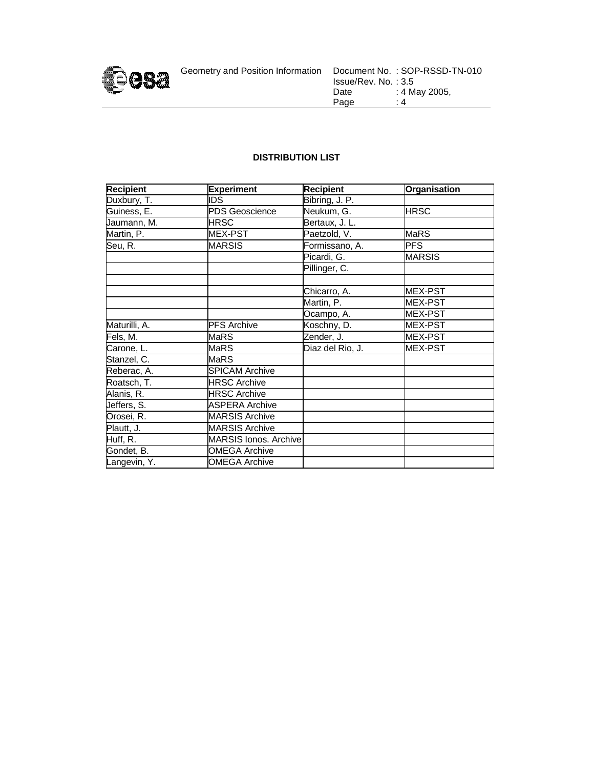

#### **DISTRIBUTION LIST**

| <b>Recipient</b> | <b>Experiment</b>     | <b>Recipient</b> | Organisation   |
|------------------|-----------------------|------------------|----------------|
| Duxbury, T.      | <b>IDS</b>            | Bibring, J. P.   |                |
| Guiness, E.      | PDS Geoscience        | Neukum, G.       | <b>HRSC</b>    |
| Jaumann, M.      | <b>HRSC</b>           | Bertaux, J. L.   |                |
| Martin, P.       | MEX-PST               | Paetzold, V.     | <b>MaRS</b>    |
| Seu, R.          | <b>MARSIS</b>         | Formissano, A.   | <b>PFS</b>     |
|                  |                       | Picardi, G.      | <b>MARSIS</b>  |
|                  |                       | Pillinger, C.    |                |
|                  |                       |                  |                |
|                  |                       | Chicarro, A.     | MEX-PST        |
|                  |                       | Martin, P.       | <b>MEX-PST</b> |
|                  |                       | Ocampo, A.       | <b>MEX-PST</b> |
| Maturilli, A.    | <b>PFS</b> Archive    | Koschny, D.      | <b>MEX-PST</b> |
| Fels, M.         | <b>MaRS</b>           | Zender, J.       | <b>MEX-PST</b> |
| Carone, L.       | MaRS                  | Diaz del Rio, J. | <b>MEX-PST</b> |
| Stanzel, C.      | MaRS                  |                  |                |
| Reberac, A.      | <b>SPICAM Archive</b> |                  |                |
| Roatsch, T.      | <b>HRSC Archive</b>   |                  |                |
| Alanis, R.       | <b>HRSC Archive</b>   |                  |                |
| Jeffers, S.      | <b>ASPERA Archive</b> |                  |                |
| Orosei, R.       | <b>MARSIS Archive</b> |                  |                |
| Plautt, J.       | <b>MARSIS Archive</b> |                  |                |
| Huff, R.         | MARSIS Ionos. Archive |                  |                |
| Gondet, B.       | <b>OMEGA Archive</b>  |                  |                |
| Langevin, Y.     | <b>OMEGA Archive</b>  |                  |                |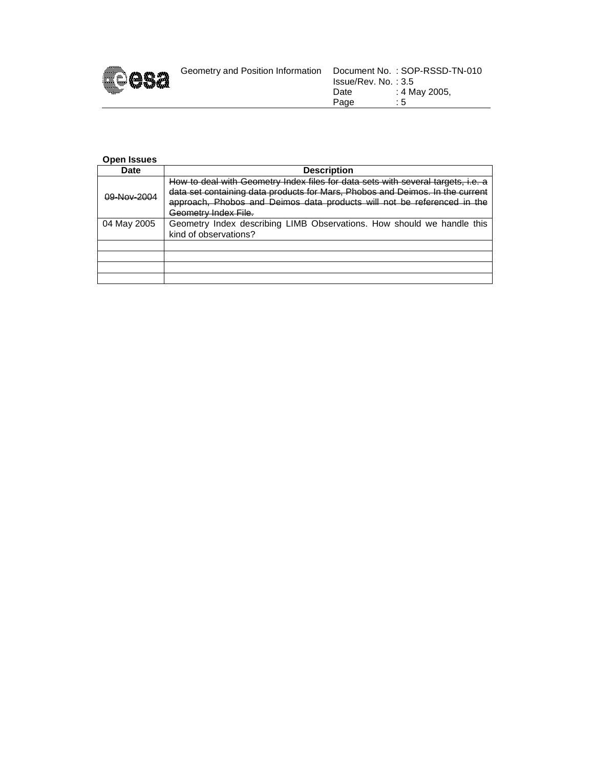

|                      | Document No.: SOP-RSSD-TN-010 |
|----------------------|-------------------------------|
| Issue/Rev. No. : 3.5 |                               |
| Date                 | : 4 May 2005,                 |
| Page                 | : 5                           |

#### **Open Issues**

| Date               | <b>Description</b>                                                                                                                                                                                                                                                   |
|--------------------|----------------------------------------------------------------------------------------------------------------------------------------------------------------------------------------------------------------------------------------------------------------------|
| <u>19-Nov-2004</u> | How to deal with Geometry Index files for data sets with several targets, i.e. a<br>data set containing data products for Mars, Phobos and Deimos. In the current<br>approach, Phobos and Deimos data products will not be referenced in the<br>Geometry Index File. |
| 04 May 2005        | Geometry Index describing LIMB Observations. How should we handle this<br>kind of observations?                                                                                                                                                                      |
|                    |                                                                                                                                                                                                                                                                      |
|                    |                                                                                                                                                                                                                                                                      |
|                    |                                                                                                                                                                                                                                                                      |
|                    |                                                                                                                                                                                                                                                                      |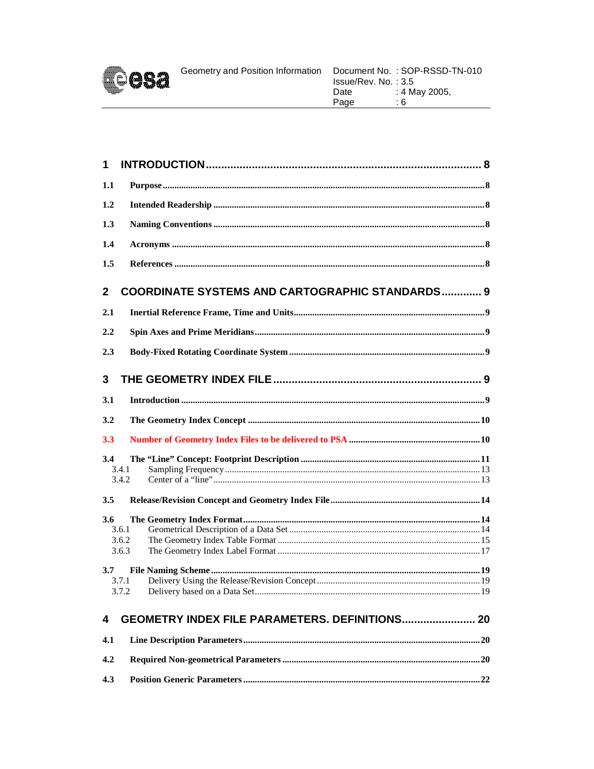

| 1            |                                                        |
|--------------|--------------------------------------------------------|
| 1.1          |                                                        |
| 1.2          |                                                        |
| 1.3          |                                                        |
| 1.4          |                                                        |
| 1.5          |                                                        |
| $\mathbf{2}$ | <b>COORDINATE SYSTEMS AND CARTOGRAPHIC STANDARDS 9</b> |
| 2.1          |                                                        |
| 2.2          |                                                        |
| 2.3          |                                                        |
| 3            |                                                        |
| 3.1          |                                                        |
| 3.2          |                                                        |
| 3.3          |                                                        |
| 3.4          | 3.4.1<br>3.4.2                                         |
| 3.5          |                                                        |
| 3.6<br>3.7   | 3.6.1<br>3.6.2<br>3.6.3                                |
|              | 3.7.1<br>3.7.2                                         |
| 4            | GEOMETRY INDEX FILE PARAMETERS. DEFINITIONS 20         |
| 4.1          |                                                        |
| 4.2          |                                                        |
| 4.3          |                                                        |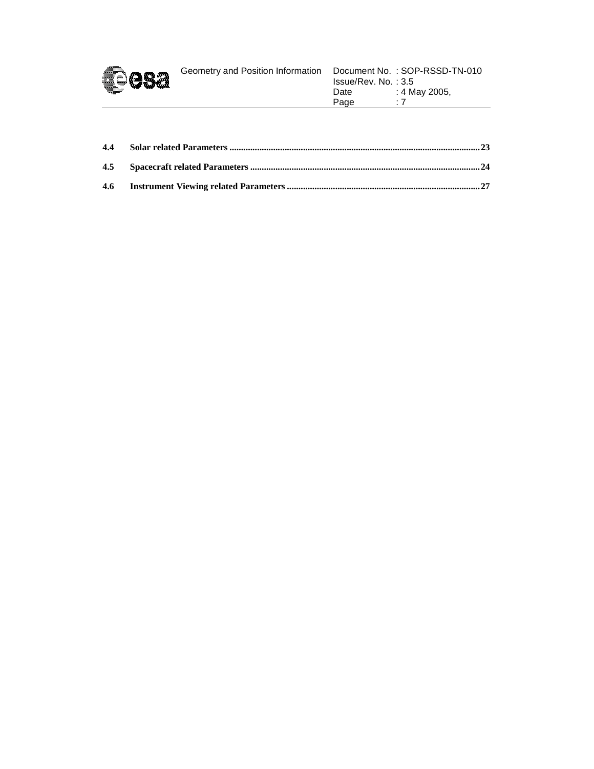

| ation |                      | Document No.: SOP-RSSD-TN-010 |
|-------|----------------------|-------------------------------|
|       | Issue/Rev. No. : 3.5 |                               |
|       | Date                 | : 4 May 2005,                 |
|       | Page                 | . 7                           |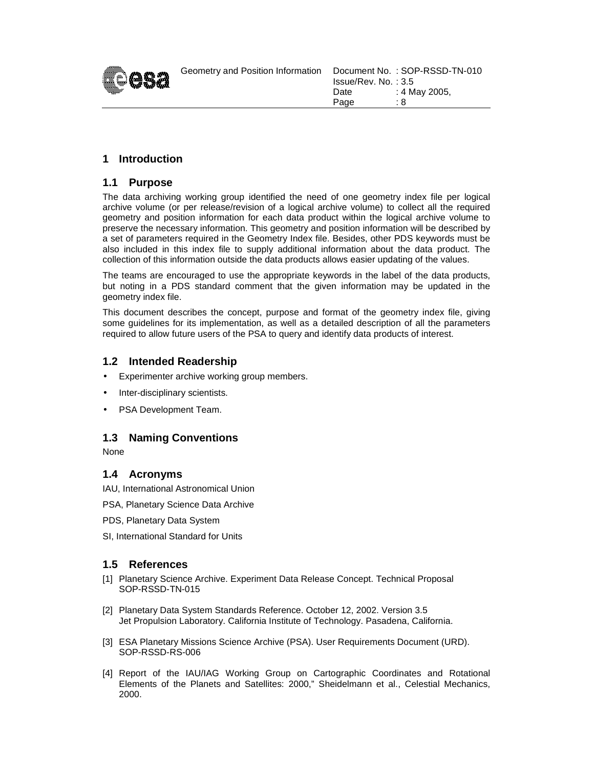| Cosa | Geometry and Position Information | Issue/Rev. No. : 3.5<br>Date<br>Page | Document No.: SOP-RSSD-TN-010<br>:4 May 2005.<br>: 8 |
|------|-----------------------------------|--------------------------------------|------------------------------------------------------|
|      |                                   |                                      |                                                      |

### **1 Introduction**

#### **1.1 Purpose**

The data archiving working group identified the need of one geometry index file per logical archive volume (or per release/revision of a logical archive volume) to collect all the required geometry and position information for each data product within the logical archive volume to preserve the necessary information. This geometry and position information will be described by a set of parameters required in the Geometry Index file. Besides, other PDS keywords must be also included in this index file to supply additional information about the data product. The collection of this information outside the data products allows easier updating of the values.

The teams are encouraged to use the appropriate keywords in the label of the data products, but noting in a PDS standard comment that the given information may be updated in the geometry index file.

This document describes the concept, purpose and format of the geometry index file, giving some guidelines for its implementation, as well as a detailed description of all the parameters required to allow future users of the PSA to query and identify data products of interest.

### **1.2 Intended Readership**

- Experimenter archive working group members.
- Inter-disciplinary scientists.
- PSA Development Team.

### **1.3 Naming Conventions**

None

### **1.4 Acronyms**

- IAU, International Astronomical Union
- PSA, Planetary Science Data Archive
- PDS, Planetary Data System
- SI, International Standard for Units

#### **1.5 References**

- [1] Planetary Science Archive. Experiment Data Release Concept. Technical Proposal SOP-RSSD-TN-015
- [2] Planetary Data System Standards Reference. October 12, 2002. Version 3.5 Jet Propulsion Laboratory. California Institute of Technology. Pasadena, California.
- [3] ESA Planetary Missions Science Archive (PSA). User Requirements Document (URD). SOP-RSSD-RS-006
- [4] Report of the IAU/IAG Working Group on Cartographic Coordinates and Rotational Elements of the Planets and Satellites: 2000," Sheidelmann et al., Celestial Mechanics, 2000.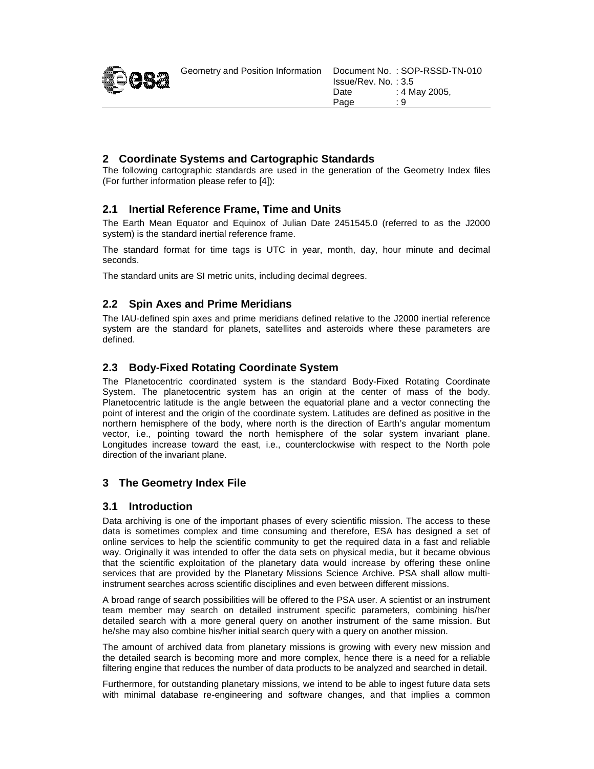

### **2 Coordinate Systems and Cartographic Standards**

The following cartographic standards are used in the generation of the Geometry Index files (For further information please refer to [4]):

### **2.1 Inertial Reference Frame, Time and Units**

The Earth Mean Equator and Equinox of Julian Date 2451545.0 (referred to as the J2000 system) is the standard inertial reference frame.

The standard format for time tags is UTC in year, month, day, hour minute and decimal seconds.

The standard units are SI metric units, including decimal degrees.

### **2.2 Spin Axes and Prime Meridians**

The IAU-defined spin axes and prime meridians defined relative to the J2000 inertial reference system are the standard for planets, satellites and asteroids where these parameters are defined.

### **2.3 Body-Fixed Rotating Coordinate System**

The Planetocentric coordinated system is the standard Body-Fixed Rotating Coordinate System. The planetocentric system has an origin at the center of mass of the body. Planetocentric latitude is the angle between the equatorial plane and a vector connecting the point of interest and the origin of the coordinate system. Latitudes are defined as positive in the northern hemisphere of the body, where north is the direction of Earth's angular momentum vector, i.e., pointing toward the north hemisphere of the solar system invariant plane. Longitudes increase toward the east, i.e., counterclockwise with respect to the North pole direction of the invariant plane.

## **3 The Geometry Index File**

### **3.1 Introduction**

Data archiving is one of the important phases of every scientific mission. The access to these data is sometimes complex and time consuming and therefore, ESA has designed a set of online services to help the scientific community to get the required data in a fast and reliable way. Originally it was intended to offer the data sets on physical media, but it became obvious that the scientific exploitation of the planetary data would increase by offering these online services that are provided by the Planetary Missions Science Archive. PSA shall allow multiinstrument searches across scientific disciplines and even between different missions.

A broad range of search possibilities will be offered to the PSA user. A scientist or an instrument team member may search on detailed instrument specific parameters, combining his/her detailed search with a more general query on another instrument of the same mission. But he/she may also combine his/her initial search query with a query on another mission.

The amount of archived data from planetary missions is growing with every new mission and the detailed search is becoming more and more complex, hence there is a need for a reliable filtering engine that reduces the number of data products to be analyzed and searched in detail.

Furthermore, for outstanding planetary missions, we intend to be able to ingest future data sets with minimal database re-engineering and software changes, and that implies a common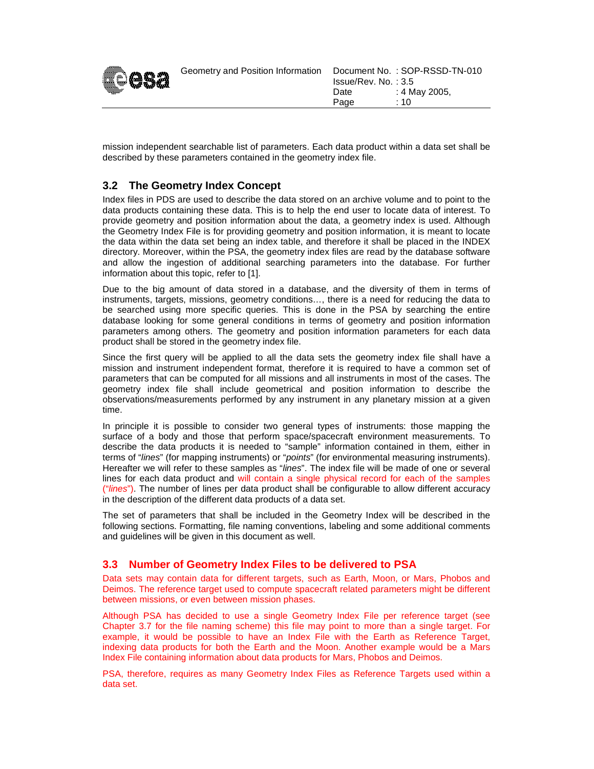

|                      | Document No.: SOP-RSSD-TN-010 |
|----------------------|-------------------------------|
| Issue/Rev. No. : 3.5 |                               |
| Date                 | : 4 May 2005,                 |
| Page                 | : 10                          |

mission independent searchable list of parameters. Each data product within a data set shall be described by these parameters contained in the geometry index file.

## **3.2 The Geometry Index Concept**

Index files in PDS are used to describe the data stored on an archive volume and to point to the data products containing these data. This is to help the end user to locate data of interest. To provide geometry and position information about the data, a geometry index is used. Although the Geometry Index File is for providing geometry and position information, it is meant to locate the data within the data set being an index table, and therefore it shall be placed in the INDEX directory. Moreover, within the PSA, the geometry index files are read by the database software and allow the ingestion of additional searching parameters into the database. For further information about this topic, refer to [1].

Due to the big amount of data stored in a database, and the diversity of them in terms of instruments, targets, missions, geometry conditions…, there is a need for reducing the data to be searched using more specific queries. This is done in the PSA by searching the entire database looking for some general conditions in terms of geometry and position information parameters among others. The geometry and position information parameters for each data product shall be stored in the geometry index file.

Since the first query will be applied to all the data sets the geometry index file shall have a mission and instrument independent format, therefore it is required to have a common set of parameters that can be computed for all missions and all instruments in most of the cases. The geometry index file shall include geometrical and position information to describe the observations/measurements performed by any instrument in any planetary mission at a given time.

In principle it is possible to consider two general types of instruments: those mapping the surface of a body and those that perform space/spacecraft environment measurements. To describe the data products it is needed to "sample" information contained in them, either in terms of "lines" (for mapping instruments) or "points" (for environmental measuring instruments). Hereafter we will refer to these samples as "lines". The index file will be made of one or several lines for each data product and will contain a single physical record for each of the samples ("lines"). The number of lines per data product shall be configurable to allow different accuracy in the description of the different data products of a data set.

The set of parameters that shall be included in the Geometry Index will be described in the following sections. Formatting, file naming conventions, labeling and some additional comments and guidelines will be given in this document as well.

### **3.3 Number of Geometry Index Files to be delivered to PSA**

Data sets may contain data for different targets, such as Earth, Moon, or Mars, Phobos and Deimos. The reference target used to compute spacecraft related parameters might be different between missions, or even between mission phases.

Although PSA has decided to use a single Geometry Index File per reference target (see Chapter 3.7 for the file naming scheme) this file may point to more than a single target. For example, it would be possible to have an Index File with the Earth as Reference Target, indexing data products for both the Earth and the Moon. Another example would be a Mars Index File containing information about data products for Mars, Phobos and Deimos.

PSA, therefore, requires as many Geometry Index Files as Reference Targets used within a data set.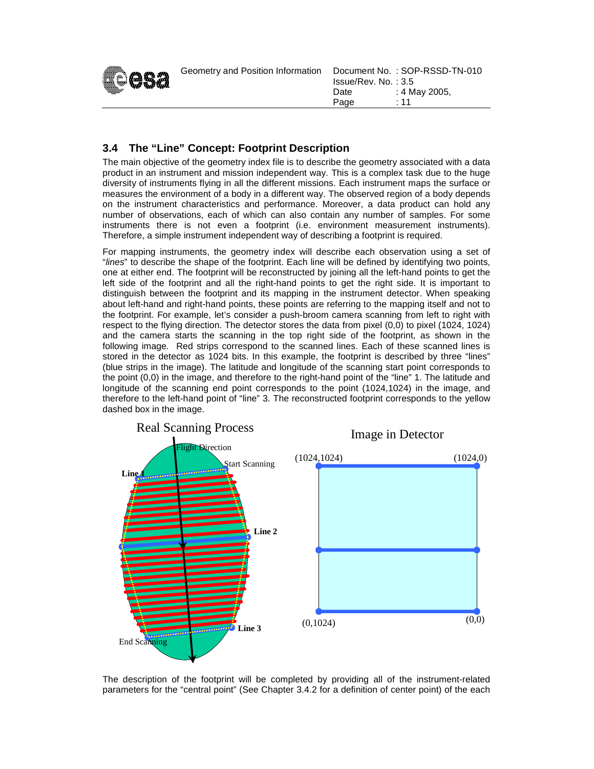

## **3.4 The "Line" Concept: Footprint Description**

The main objective of the geometry index file is to describe the geometry associated with a data product in an instrument and mission independent way. This is a complex task due to the huge diversity of instruments flying in all the different missions. Each instrument maps the surface or measures the environment of a body in a different way. The observed region of a body depends on the instrument characteristics and performance. Moreover, a data product can hold any number of observations, each of which can also contain any number of samples. For some instruments there is not even a footprint (i.e. environment measurement instruments). Therefore, a simple instrument independent way of describing a footprint is required.

For mapping instruments, the geometry index will describe each observation using a set of "lines" to describe the shape of the footprint. Each line will be defined by identifying two points, one at either end. The footprint will be reconstructed by joining all the left-hand points to get the left side of the footprint and all the right-hand points to get the right side. It is important to distinguish between the footprint and its mapping in the instrument detector. When speaking about left-hand and right-hand points, these points are referring to the mapping itself and not to the footprint. For example, let's consider a push-broom camera scanning from left to right with respect to the flying direction. The detector stores the data from pixel (0,0) to pixel (1024, 1024) and the camera starts the scanning in the top right side of the footprint, as shown in the following image. Red strips correspond to the scanned lines. Each of these scanned lines is stored in the detector as 1024 bits. In this example, the footprint is described by three "lines" (blue strips in the image). The latitude and longitude of the scanning start point corresponds to the point (0,0) in the image, and therefore to the right-hand point of the "line" 1. The latitude and longitude of the scanning end point corresponds to the point (1024,1024) in the image, and therefore to the left-hand point of "line" 3. The reconstructed footprint corresponds to the yellow dashed box in the image.



The description of the footprint will be completed by providing all of the instrument-related parameters for the "central point" (See Chapter 3.4.2 for a definition of center point) of the each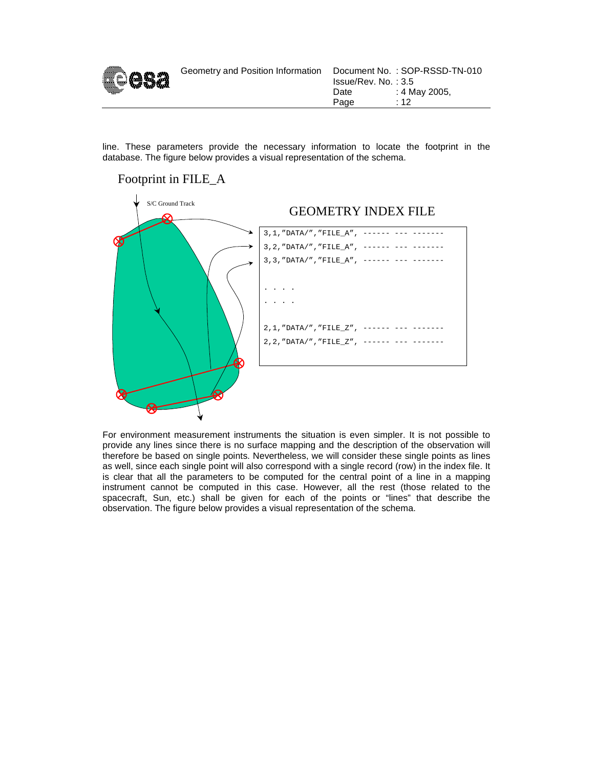| COSS | Geometry and Position Information | Issue/Rev. No. : 3.5 | Document No. : SOP-RSSD-TN-010 |
|------|-----------------------------------|----------------------|--------------------------------|
|      |                                   | Date<br>Page         | :4 May 2005.<br>・1つ            |

line. These parameters provide the necessary information to locate the footprint in the database. The figure below provides a visual representation of the schema.

## Footprint in FILE\_A



For environment measurement instruments the situation is even simpler. It is not possible to provide any lines since there is no surface mapping and the description of the observation will therefore be based on single points. Nevertheless, we will consider these single points as lines as well, since each single point will also correspond with a single record (row) in the index file. It is clear that all the parameters to be computed for the central point of a line in a mapping instrument cannot be computed in this case. However, all the rest (those related to the spacecraft, Sun, etc.) shall be given for each of the points or "lines" that describe the observation. The figure below provides a visual representation of the schema.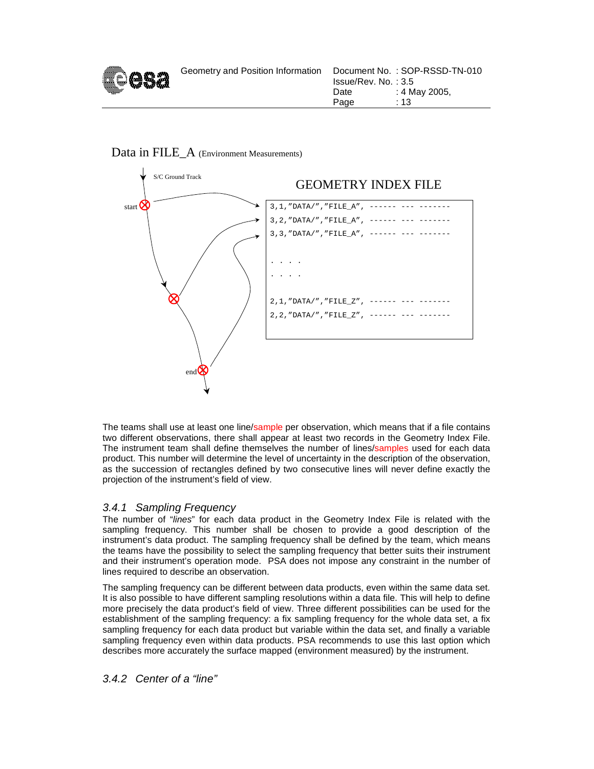

### Data in FILE\_A (Environment Measurements)



The teams shall use at least one line/sample per observation, which means that if a file contains two different observations, there shall appear at least two records in the Geometry Index File. The instrument team shall define themselves the number of lines/samples used for each data product. This number will determine the level of uncertainty in the description of the observation, as the succession of rectangles defined by two consecutive lines will never define exactly the projection of the instrument's field of view.

### 3.4.1 Sampling Frequency

The number of "lines" for each data product in the Geometry Index File is related with the sampling frequency. This number shall be chosen to provide a good description of the instrument's data product. The sampling frequency shall be defined by the team, which means the teams have the possibility to select the sampling frequency that better suits their instrument and their instrument's operation mode. PSA does not impose any constraint in the number of lines required to describe an observation.

The sampling frequency can be different between data products, even within the same data set. It is also possible to have different sampling resolutions within a data file. This will help to define more precisely the data product's field of view. Three different possibilities can be used for the establishment of the sampling frequency: a fix sampling frequency for the whole data set, a fix sampling frequency for each data product but variable within the data set, and finally a variable sampling frequency even within data products. PSA recommends to use this last option which describes more accurately the surface mapped (environment measured) by the instrument.

3.4.2 Center of a "line"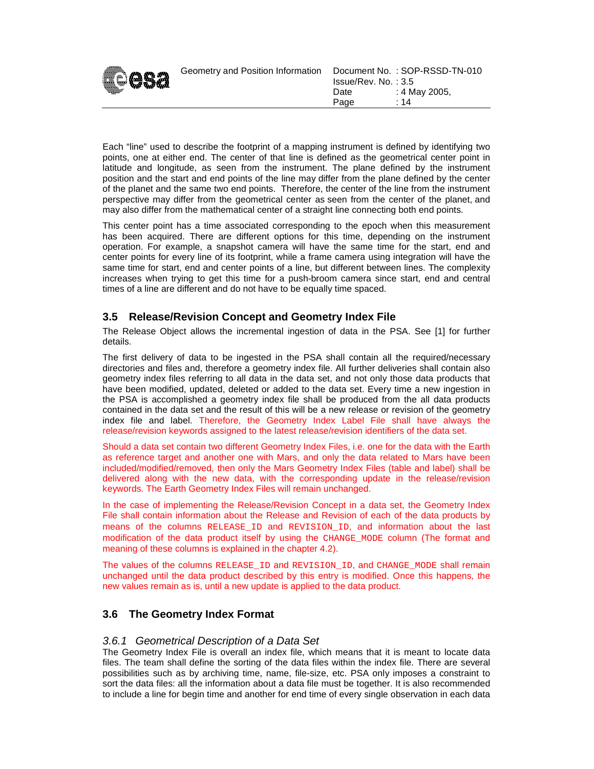| Cosa | Geometry and Position Information | lssue/Rev. No. : 3.5<br>Date<br>Page | Document No.: SOP-RSSD-TN-010<br>:4 May 2005.<br>:14 |
|------|-----------------------------------|--------------------------------------|------------------------------------------------------|
|      |                                   |                                      |                                                      |

Each "line" used to describe the footprint of a mapping instrument is defined by identifying two points, one at either end. The center of that line is defined as the geometrical center point in latitude and longitude, as seen from the instrument. The plane defined by the instrument position and the start and end points of the line may differ from the plane defined by the center of the planet and the same two end points. Therefore, the center of the line from the instrument perspective may differ from the geometrical center as seen from the center of the planet, and may also differ from the mathematical center of a straight line connecting both end points.

This center point has a time associated corresponding to the epoch when this measurement has been acquired. There are different options for this time, depending on the instrument operation. For example, a snapshot camera will have the same time for the start, end and center points for every line of its footprint, while a frame camera using integration will have the same time for start, end and center points of a line, but different between lines. The complexity increases when trying to get this time for a push-broom camera since start, end and central times of a line are different and do not have to be equally time spaced.

### **3.5 Release/Revision Concept and Geometry Index File**

The Release Object allows the incremental ingestion of data in the PSA. See [1] for further details.

The first delivery of data to be ingested in the PSA shall contain all the required/necessary directories and files and, therefore a geometry index file. All further deliveries shall contain also geometry index files referring to all data in the data set, and not only those data products that have been modified, updated, deleted or added to the data set. Every time a new ingestion in the PSA is accomplished a geometry index file shall be produced from the all data products contained in the data set and the result of this will be a new release or revision of the geometry index file and label. Therefore, the Geometry Index Label File shall have always the release/revision keywords assigned to the latest release/revision identifiers of the data set.

Should a data set contain two different Geometry Index Files, i.e. one for the data with the Earth as reference target and another one with Mars, and only the data related to Mars have been included/modified/removed, then only the Mars Geometry Index Files (table and label) shall be delivered along with the new data, with the corresponding update in the release/revision keywords. The Earth Geometry Index Files will remain unchanged.

In the case of implementing the Release/Revision Concept in a data set, the Geometry Index File shall contain information about the Release and Revision of each of the data products by means of the columns RELEASE\_ID and REVISION\_ID, and information about the last modification of the data product itself by using the CHANGE\_MODE column (The format and meaning of these columns is explained in the chapter 4.2).

The values of the columns RELEASE\_ID and REVISION\_ID, and CHANGE\_MODE shall remain unchanged until the data product described by this entry is modified. Once this happens, the new values remain as is, until a new update is applied to the data product.

## **3.6 The Geometry Index Format**

#### 3.6.1 Geometrical Description of a Data Set

The Geometry Index File is overall an index file, which means that it is meant to locate data files. The team shall define the sorting of the data files within the index file. There are several possibilities such as by archiving time, name, file-size, etc. PSA only imposes a constraint to sort the data files: all the information about a data file must be together. It is also recommended to include a line for begin time and another for end time of every single observation in each data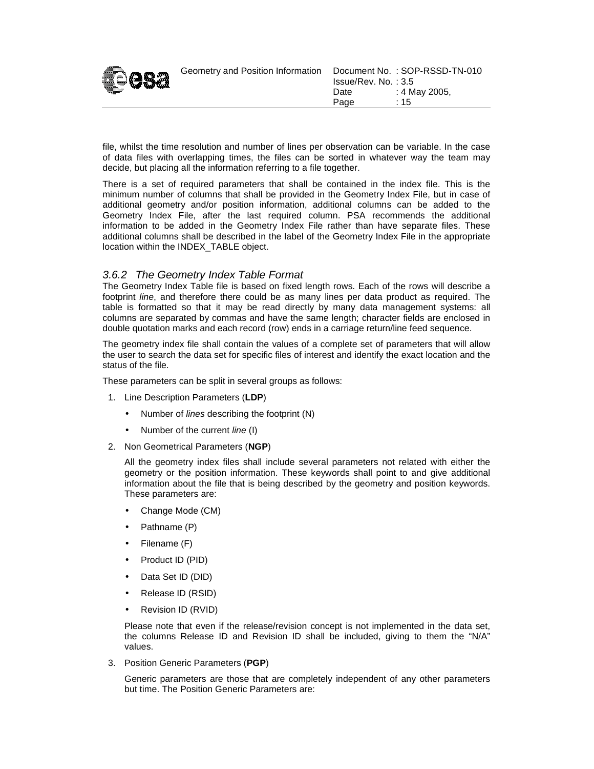| Cosa | Geometry and Position Information | Issue/Rev. No.: 3.5<br>Date<br>Page | Document No.: SOP-RSSD-TN-010<br>:4 May 2005.<br>:15 |
|------|-----------------------------------|-------------------------------------|------------------------------------------------------|
|      |                                   |                                     |                                                      |

file, whilst the time resolution and number of lines per observation can be variable. In the case of data files with overlapping times, the files can be sorted in whatever way the team may decide, but placing all the information referring to a file together.

There is a set of required parameters that shall be contained in the index file. This is the minimum number of columns that shall be provided in the Geometry Index File, but in case of additional geometry and/or position information, additional columns can be added to the Geometry Index File, after the last required column. PSA recommends the additional information to be added in the Geometry Index File rather than have separate files. These additional columns shall be described in the label of the Geometry Index File in the appropriate location within the INDEX\_TABLE object.

#### 3.6.2 The Geometry Index Table Format

The Geometry Index Table file is based on fixed length rows. Each of the rows will describe a footprint *line*, and therefore there could be as many lines per data product as required. The table is formatted so that it may be read directly by many data management systems: all columns are separated by commas and have the same length; character fields are enclosed in double quotation marks and each record (row) ends in a carriage return/line feed sequence.

The geometry index file shall contain the values of a complete set of parameters that will allow the user to search the data set for specific files of interest and identify the exact location and the status of the file.

These parameters can be split in several groups as follows:

- 1. Line Description Parameters (**LDP**)
	- Number of lines describing the footprint (N)
	- Number of the current line (I)
- 2. Non Geometrical Parameters (**NGP**)

All the geometry index files shall include several parameters not related with either the geometry or the position information. These keywords shall point to and give additional information about the file that is being described by the geometry and position keywords. These parameters are:

- Change Mode (CM)
- Pathname (P)
- Filename (F)
- Product ID (PID)
- Data Set ID (DID)
- Release ID (RSID)
- Revision ID (RVID)

Please note that even if the release/revision concept is not implemented in the data set, the columns Release ID and Revision ID shall be included, giving to them the "N/A" values.

3. Position Generic Parameters (**PGP**)

Generic parameters are those that are completely independent of any other parameters but time. The Position Generic Parameters are: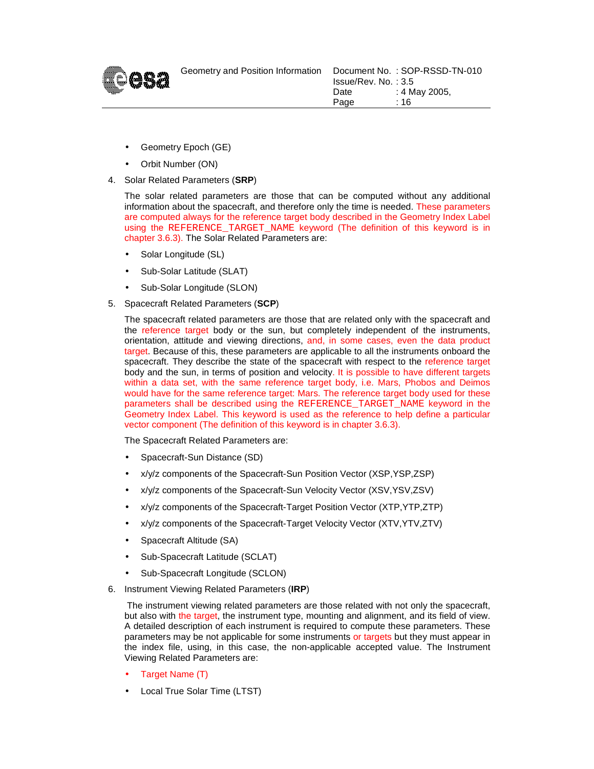

- Geometry Epoch (GE)
- Orbit Number (ON)
- 4. Solar Related Parameters (**SRP**)

The solar related parameters are those that can be computed without any additional information about the spacecraft, and therefore only the time is needed. These parameters are computed always for the reference target body described in the Geometry Index Label using the REFERENCE TARGET NAME keyword (The definition of this keyword is in chapter 3.6.3). The Solar Related Parameters are:

- Solar Longitude (SL)
- Sub-Solar Latitude (SLAT)
- Sub-Solar Longitude (SLON)
- 5. Spacecraft Related Parameters (**SCP**)

The spacecraft related parameters are those that are related only with the spacecraft and the reference target body or the sun, but completely independent of the instruments, orientation, attitude and viewing directions, and, in some cases, even the data product target. Because of this, these parameters are applicable to all the instruments onboard the spacecraft. They describe the state of the spacecraft with respect to the reference target body and the sun, in terms of position and velocity. It is possible to have different targets within a data set, with the same reference target body, i.e. Mars, Phobos and Deimos would have for the same reference target: Mars. The reference target body used for these parameters shall be described using the REFERENCE\_TARGET\_NAME keyword in the Geometry Index Label. This keyword is used as the reference to help define a particular vector component (The definition of this keyword is in chapter 3.6.3).

The Spacecraft Related Parameters are:

- Spacecraft-Sun Distance (SD)
- x/y/z components of the Spacecraft-Sun Position Vector (XSP,YSP,ZSP)
- x/y/z components of the Spacecraft-Sun Velocity Vector (XSV,YSV,ZSV)
- x/y/z components of the Spacecraft-Target Position Vector (XTP,YTP,ZTP)
- x/y/z components of the Spacecraft-Target Velocity Vector (XTV,YTV,ZTV)
- Spacecraft Altitude (SA)
- Sub-Spacecraft Latitude (SCLAT)
- Sub-Spacecraft Longitude (SCLON)
- 6. Instrument Viewing Related Parameters (**IRP**)

 The instrument viewing related parameters are those related with not only the spacecraft, but also with the target, the instrument type, mounting and alignment, and its field of view. A detailed description of each instrument is required to compute these parameters. These parameters may be not applicable for some instruments or targets but they must appear in the index file, using, in this case, the non-applicable accepted value. The Instrument Viewing Related Parameters are:

- Target Name (T)
- Local True Solar Time (LTST)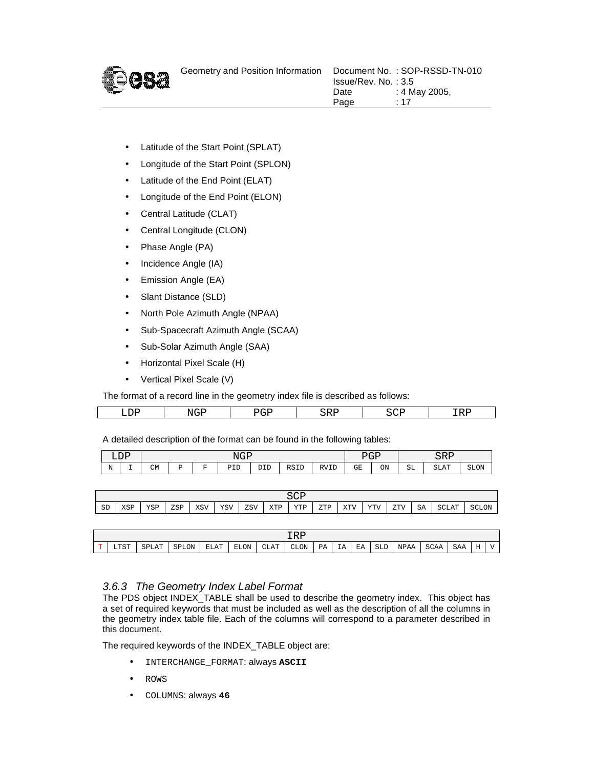

- Latitude of the Start Point (SPLAT)
- Longitude of the Start Point (SPLON)
- Latitude of the End Point (ELAT)
- Longitude of the End Point (ELON)
- Central Latitude (CLAT)
- Central Longitude (CLON)
- Phase Angle (PA)
- Incidence Angle (IA)
- Emission Angle (EA)
- Slant Distance (SLD)
- North Pole Azimuth Angle (NPAA)
- Sub-Spacecraft Azimuth Angle (SCAA)
- Sub-Solar Azimuth Angle (SAA)
- Horizontal Pixel Scale (H)
- Vertical Pixel Scale (V)

The format of a record line in the geometry index file is described as follows:

| ᠃<br>ᅩᅩ | -NR<br>---- | . .<br>$-$ | --- | . . | ----<br>$- -$ |
|---------|-------------|------------|-----|-----|---------------|
|         |             |            |     |     |               |

A detailed description of the format can be found in the following tables:

|         | ת ה<br>⊣ (                            | <b>NGP</b> |  |              |              |     | DCD<br>⊾ت<br>Æ. |             |    | $\cap$ $\cap$ $\cap$<br>◡∸ |                 |             |      |
|---------|---------------------------------------|------------|--|--------------|--------------|-----|-----------------|-------------|----|----------------------------|-----------------|-------------|------|
| N<br>-- | $\overline{\phantom{a}}$<br><b>__</b> | <b>CM</b>  |  | $\mathbf{r}$ | DTD<br>⊔⊥ ہے | DID | <b>RSID</b>     | <b>RVID</b> | GE | OΝ                         | $\bigcap$<br>سە | <b>SLAT</b> | SLON |

|           | SCP |     |     |     |     |     |            |          |            |                     |                 |                |                      |              |                        |
|-----------|-----|-----|-----|-----|-----|-----|------------|----------|------------|---------------------|-----------------|----------------|----------------------|--------------|------------------------|
| <b>SD</b> | XSP | YSP | ZSP | XSV | YSV | ZSV | YTD<br>△⊥⊢ | VTD<br>. | 7TD<br>415 | 370037<br>. .<br>∡⊥ | <b>VTV</b><br>. | ZTVI<br>2⊔ ⊾ ∨ | C <sub>n</sub><br>DА | <b>SCLAT</b> | CCT<br>$\sim$<br>SCLUN |

|                   |             |                           |       |             |      |      | ₩<br>--- |    |    |    |            |             |             |     |   |     |
|-------------------|-------------|---------------------------|-------|-------------|------|------|----------|----|----|----|------------|-------------|-------------|-----|---|-----|
| <b>CONTRACTOR</b> | mom<br>---- | <b>CDT.AT</b><br>5 F LA 1 | SPLON | <b>ELAT</b> | ELON | CLAT | CLON     | PA | IA | EA | <b>SLD</b> | <b>NPAA</b> | <b>SCAA</b> | SAA | H | $-$ |

### 3.6.3 The Geometry Index Label Format

The PDS object INDEX\_TABLE shall be used to describe the geometry index. This object has a set of required keywords that must be included as well as the description of all the columns in the geometry index table file. Each of the columns will correspond to a parameter described in this document.

The required keywords of the INDEX\_TABLE object are:

- INTERCHANGE\_FORMAT: always **ASCII**
- ROWS
- COLUMNS: always **46**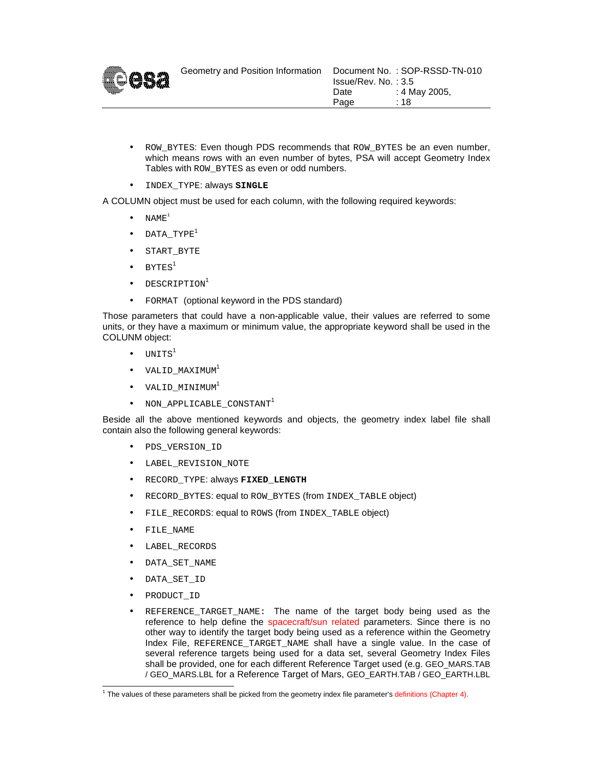

- ROW\_BYTES: Even though PDS recommends that ROW BYTES be an even number, which means rows with an even number of bytes, PSA will accept Geometry Index Tables with ROW\_BYTES as even or odd numbers.
- INDEX\_TYPE: always **SINGLE**

A COLUMN object must be used for each column, with the following required keywords:

- $NAME<sup>1</sup>$
- DATA TYPE<sup>1</sup>
- START\_BYTE
- $BYTES<sup>1</sup>$
- DESCRIPTION<sup>1</sup>
- FORMAT (optional keyword in the PDS standard)

Those parameters that could have a non-applicable value, their values are referred to some units, or they have a maximum or minimum value, the appropriate keyword shall be used in the COLUNM object:

- $\bullet$  UNITS<sup>1</sup>
- VALID\_MAXIMUM<sup>1</sup>
- VALID MINIMUM<sup>1</sup>
- NON\_APPLICABLE\_CONSTANT<sup>1</sup>

Beside all the above mentioned keywords and objects, the geometry index label file shall contain also the following general keywords:

- PDS\_VERSION\_ID
- LABEL\_REVISION\_NOTE
- RECORD\_TYPE: always **FIXED\_LENGTH**
- RECORD\_BYTES: equal to ROW\_BYTES (from INDEX\_TABLE object)
- FILE\_RECORDS: equal to ROWS (from INDEX\_TABLE object)
- FILE\_NAME
- LABEL RECORDS
- DATA\_SET\_NAME
- DATA\_SET\_ID
- PRODUCT\_ID

 $\overline{a}$ 

• REFERENCE\_TARGET\_NAME: The name of the target body being used as the reference to help define the spacecraft/sun related parameters. Since there is no other way to identify the target body being used as a reference within the Geometry Index File, REFERENCE\_TARGET\_NAME shall have a single value. In the case of several reference targets being used for a data set, several Geometry Index Files shall be provided, one for each different Reference Target used (e.g. GEO\_MARS.TAB / GEO\_MARS.LBL for a Reference Target of Mars, GEO\_EARTH.TAB / GEO\_EARTH.LBL

<sup>&</sup>lt;sup>1</sup> The values of these parameters shall be picked from the geometry index file parameter's definitions (Chapter 4).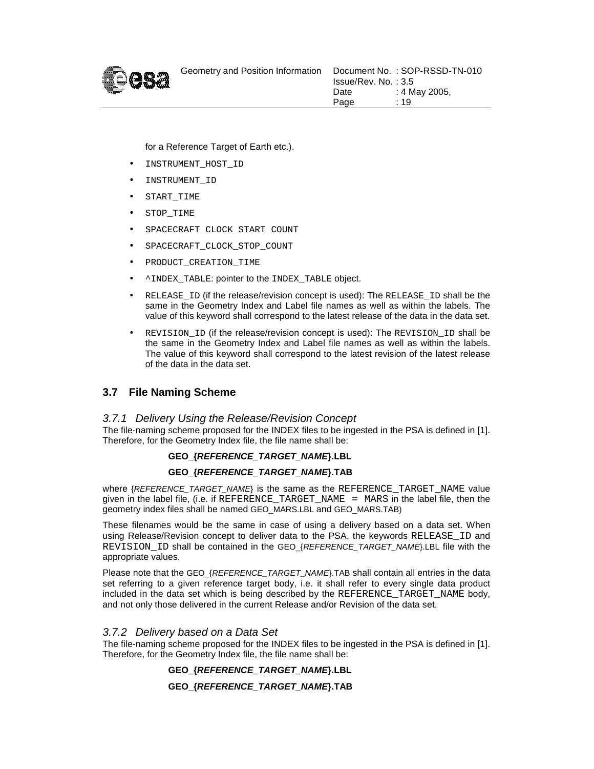

for a Reference Target of Earth etc.).

- INSTRUMENT\_HOST\_ID
- INSTRUMENT\_ID
- START TIME
- STOP\_TIME
- SPACECRAFT\_CLOCK\_START\_COUNT
- SPACECRAFT\_CLOCK\_STOP\_COUNT
- PRODUCT\_CREATION\_TIME
- ^INDEX\_TABLE: pointer to the INDEX\_TABLE object.
- RELEASE ID (if the release/revision concept is used): The RELEASE ID shall be the same in the Geometry Index and Label file names as well as within the labels. The value of this keyword shall correspond to the latest release of the data in the data set.
- REVISION ID (if the release/revision concept is used): The REVISION ID shall be the same in the Geometry Index and Label file names as well as within the labels. The value of this keyword shall correspond to the latest revision of the latest release of the data in the data set.

### **3.7 File Naming Scheme**

#### 3.7.1 Delivery Using the Release/Revision Concept

The file-naming scheme proposed for the INDEX files to be ingested in the PSA is defined in [1]. Therefore, for the Geometry Index file, the file name shall be:

#### **GEO\_{REFERENCE\_TARGET\_NAME}.LBL**

#### **GEO\_{REFERENCE\_TARGET\_NAME}.TAB**

where {REFERENCE\_TARGET\_NAME} is the same as the REFERENCE\_TARGET\_NAME value given in the label file, (i.e. if REFERENCE\_TARGET\_NAME = MARS in the label file, then the geometry index files shall be named GEO\_MARS.LBL and GEO\_MARS.TAB)

These filenames would be the same in case of using a delivery based on a data set. When using Release/Revision concept to deliver data to the PSA, the keywords RELEASE\_ID and REVISION ID shall be contained in the GEO\_{REFERENCE\_TARGET\_NAME}.LBL file with the appropriate values.

Please note that the GEO\_{REFERENCE\_TARGET\_NAME}.TAB shall contain all entries in the data set referring to a given reference target body, i.e. it shall refer to every single data product included in the data set which is being described by the REFERENCE\_TARGET\_NAME body, and not only those delivered in the current Release and/or Revision of the data set.

#### 3.7.2 Delivery based on a Data Set

The file-naming scheme proposed for the INDEX files to be ingested in the PSA is defined in [1]. Therefore, for the Geometry Index file, the file name shall be:

#### **GEO\_{REFERENCE\_TARGET\_NAME}.LBL**

#### **GEO\_{REFERENCE\_TARGET\_NAME}.TAB**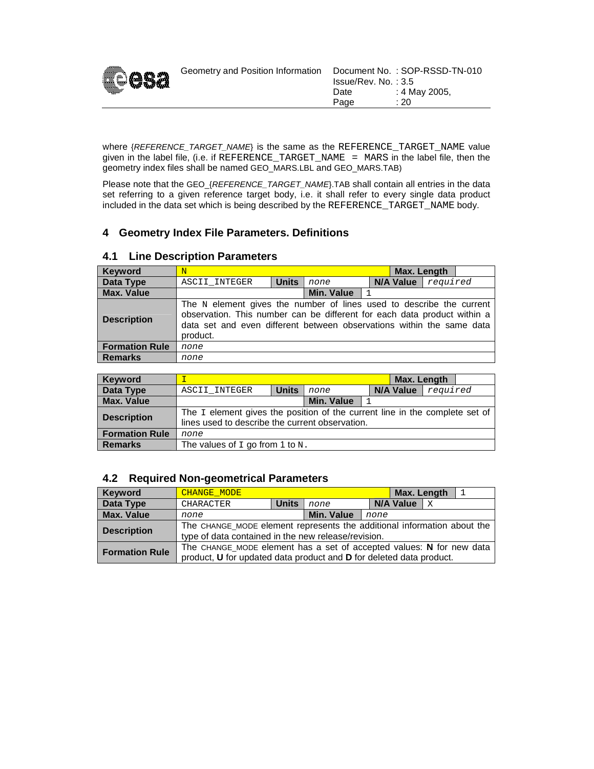

| ion |                      | Document No.: SOP-RSSD-TN-010 |
|-----|----------------------|-------------------------------|
|     | Issue/Rev. No. : 3.5 |                               |
|     | Date                 | : 4 May 2005,                 |
|     | Page                 | : 20                          |

where {REFERENCE\_TARGET\_NAME} is the same as the REFERENCE\_TARGET\_NAME value given in the label file, (i.e. if REFERENCE\_TARGET\_NAME = MARS in the label file, then the geometry index files shall be named GEO\_MARS.LBL and GEO\_MARS.TAB)

Please note that the GEO\_{REFERENCE\_TARGET\_NAME}.TAB shall contain all entries in the data set referring to a given reference target body, i.e. it shall refer to every single data product included in the data set which is being described by the REFERENCE\_TARGET\_NAME body.

## **4 Geometry Index File Parameters. Definitions**

| <b>Keyword</b>        | $\overline{\text{N}}$                                                                                                                                                                                                                 |              |            | Max. Length |                           |
|-----------------------|---------------------------------------------------------------------------------------------------------------------------------------------------------------------------------------------------------------------------------------|--------------|------------|-------------|---------------------------|
| Data Type             | ASCII INTEGER                                                                                                                                                                                                                         | <b>Units</b> | none       |             | <b>N/A Value</b> required |
| <b>Max. Value</b>     |                                                                                                                                                                                                                                       |              | Min. Value |             |                           |
| <b>Description</b>    | The N element gives the number of lines used to describe the current<br>observation. This number can be different for each data product within a<br>data set and even different between observations within the same data<br>product. |              |            |             |                           |
| <b>Formation Rule</b> | none                                                                                                                                                                                                                                  |              |            |             |                           |
| <b>Remarks</b>        | none                                                                                                                                                                                                                                  |              |            |             |                           |

### **4.1 Line Description Parameters**

| <b>Keyword</b>        |                                                                                                                                  |              |                   | Max. Length |          |
|-----------------------|----------------------------------------------------------------------------------------------------------------------------------|--------------|-------------------|-------------|----------|
| Data Type             | ASCII INTEGER                                                                                                                    | <b>Units</b> | none              | N/A Value   | required |
| <b>Max. Value</b>     |                                                                                                                                  |              | <b>Min. Value</b> |             |          |
| <b>Description</b>    | The $I$ element gives the position of the current line in the complete set of<br>lines used to describe the current observation. |              |                   |             |          |
| <b>Formation Rule</b> | none                                                                                                                             |              |                   |             |          |
| <b>Remarks</b>        | The values of $I$ go from 1 to $N$ .                                                                                             |              |                   |             |          |

## **4.2 Required Non-geometrical Parameters**

| Keyword               | <b>CHANGE MODE</b>                                                      |              |                   | Max. Length          | ' 1 |  |  |  |  |
|-----------------------|-------------------------------------------------------------------------|--------------|-------------------|----------------------|-----|--|--|--|--|
| Data Type             | CHARACTER                                                               | <b>Units</b> | none              | $N/A$ Value $\mid x$ |     |  |  |  |  |
| <b>Max. Value</b>     | none                                                                    |              | <b>Min. Value</b> | none                 |     |  |  |  |  |
| <b>Description</b>    | The CHANGE_MODE element represents the additional information about the |              |                   |                      |     |  |  |  |  |
|                       | type of data contained in the new release/revision.                     |              |                   |                      |     |  |  |  |  |
| <b>Formation Rule</b> | The CHANGE_MODE element has a set of accepted values: N for new data    |              |                   |                      |     |  |  |  |  |
|                       | product, U for updated data product and D for deleted data product.     |              |                   |                      |     |  |  |  |  |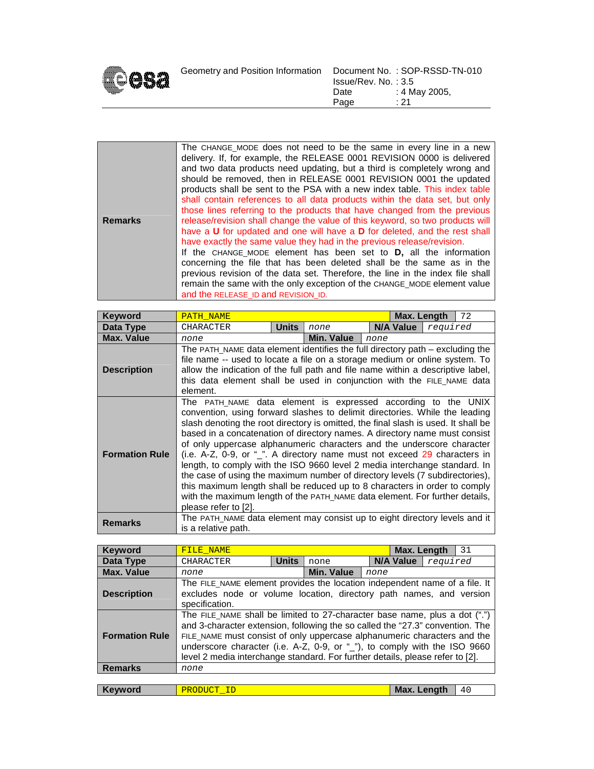

| n |                      | Document No.: SOP-RSSD-TN-010 |
|---|----------------------|-------------------------------|
|   | Issue/Rev. No. : 3.5 |                               |
|   | Date                 | : 4 May 2005,                 |
|   | Page                 | : 21                          |
|   |                      |                               |

|                | The CHANGE MODE does not need to be the same in every line in a new            |
|----------------|--------------------------------------------------------------------------------|
|                | delivery. If, for example, the RELEASE 0001 REVISION 0000 is delivered         |
|                | and two data products need updating, but a third is completely wrong and       |
|                | should be removed, then in RELEASE 0001 REVISION 0001 the updated              |
|                | products shall be sent to the PSA with a new index table. This index table     |
|                | shall contain references to all data products within the data set, but only    |
|                | those lines referring to the products that have changed from the previous      |
| <b>Remarks</b> | release/revision shall change the value of this keyword, so two products will  |
|                | have a U for updated and one will have a D for deleted, and the rest shall     |
|                | have exactly the same value they had in the previous release/revision.         |
|                | If the CHANGE MODE element has been set to <b>D</b> , all the information      |
|                | concerning the file that has been deleted shall be the same as in the          |
|                | previous revision of the data set. Therefore, the line in the index file shall |
|                | remain the same with the only exception of the CHANGE_MODE element value       |
|                | and the RELEASE_ID and REVISION_ID.                                            |

| <b>Keyword</b>        | <b>PATH NAME</b>                                                                                                                                                                                                                                                                                                                                                                                                                                                                                                                                                                                                                                                                                                                                                                                                           |              |            |      | Max. Length |          | 72 |
|-----------------------|----------------------------------------------------------------------------------------------------------------------------------------------------------------------------------------------------------------------------------------------------------------------------------------------------------------------------------------------------------------------------------------------------------------------------------------------------------------------------------------------------------------------------------------------------------------------------------------------------------------------------------------------------------------------------------------------------------------------------------------------------------------------------------------------------------------------------|--------------|------------|------|-------------|----------|----|
| Data Type             | <b>CHARACTER</b>                                                                                                                                                                                                                                                                                                                                                                                                                                                                                                                                                                                                                                                                                                                                                                                                           | <b>Units</b> | none       |      | N/A Value   | required |    |
| <b>Max. Value</b>     | none                                                                                                                                                                                                                                                                                                                                                                                                                                                                                                                                                                                                                                                                                                                                                                                                                       |              | Min. Value | none |             |          |    |
| <b>Description</b>    | The PATH_NAME data element identifies the full directory path – excluding the<br>file name -- used to locate a file on a storage medium or online system. To<br>allow the indication of the full path and file name within a descriptive label,<br>this data element shall be used in conjunction with the FILE_NAME data<br>element.                                                                                                                                                                                                                                                                                                                                                                                                                                                                                      |              |            |      |             |          |    |
| <b>Formation Rule</b> | The PATH_NAME data element is expressed according to the UNIX<br>convention, using forward slashes to delimit directories. While the leading<br>slash denoting the root directory is omitted, the final slash is used. It shall be<br>based in a concatenation of directory names. A directory name must consist<br>of only uppercase alphanumeric characters and the underscore character<br>(i.e. A-Z, 0-9, or "_". A directory name must not exceed 29 characters in<br>length, to comply with the ISO 9660 level 2 media interchange standard. In<br>the case of using the maximum number of directory levels (7 subdirectories),<br>this maximum length shall be reduced up to 8 characters in order to comply<br>with the maximum length of the PATH_NAME data element. For further details,<br>please refer to [2]. |              |            |      |             |          |    |
| <b>Remarks</b>        | The PATH NAME data element may consist up to eight directory levels and it<br>is a relative path.                                                                                                                                                                                                                                                                                                                                                                                                                                                                                                                                                                                                                                                                                                                          |              |            |      |             |          |    |

| Keyword               | FILE NAME                                                                                                                                                                                                                                                                                                                                                                                             |                                                                                                                                                   |                   |      | Max. Length      |          | 31 |  |  |  |
|-----------------------|-------------------------------------------------------------------------------------------------------------------------------------------------------------------------------------------------------------------------------------------------------------------------------------------------------------------------------------------------------------------------------------------------------|---------------------------------------------------------------------------------------------------------------------------------------------------|-------------------|------|------------------|----------|----|--|--|--|
| Data Type             | <b>CHARACTER</b>                                                                                                                                                                                                                                                                                                                                                                                      | <b>Units</b>                                                                                                                                      | none              |      | <b>N/A Value</b> | required |    |  |  |  |
| <b>Max. Value</b>     | none                                                                                                                                                                                                                                                                                                                                                                                                  |                                                                                                                                                   | <b>Min. Value</b> | none |                  |          |    |  |  |  |
| <b>Description</b>    | specification.                                                                                                                                                                                                                                                                                                                                                                                        | The FILE_NAME element provides the location independent name of a file. It<br>excludes node or volume location, directory path names, and version |                   |      |                  |          |    |  |  |  |
| <b>Formation Rule</b> | The FILE NAME shall be limited to 27-character base name, plus a dot (".")<br>and 3-character extension, following the so called the "27.3" convention. The<br>FILE_NAME must consist of only uppercase alphanumeric characters and the<br>underscore character (i.e. A-Z, 0-9, or "_"), to comply with the ISO 9660<br>level 2 media interchange standard. For further details, please refer to [2]. |                                                                                                                                                   |                   |      |                  |          |    |  |  |  |
| <b>Remarks</b>        | none                                                                                                                                                                                                                                                                                                                                                                                                  |                                                                                                                                                   |                   |      |                  |          |    |  |  |  |

| Ke<br>word | ىن | Max. Leng<br>∌natr | 4 <sub>1</sub><br><b>. .</b> |
|------------|----|--------------------|------------------------------|
|            |    |                    |                              |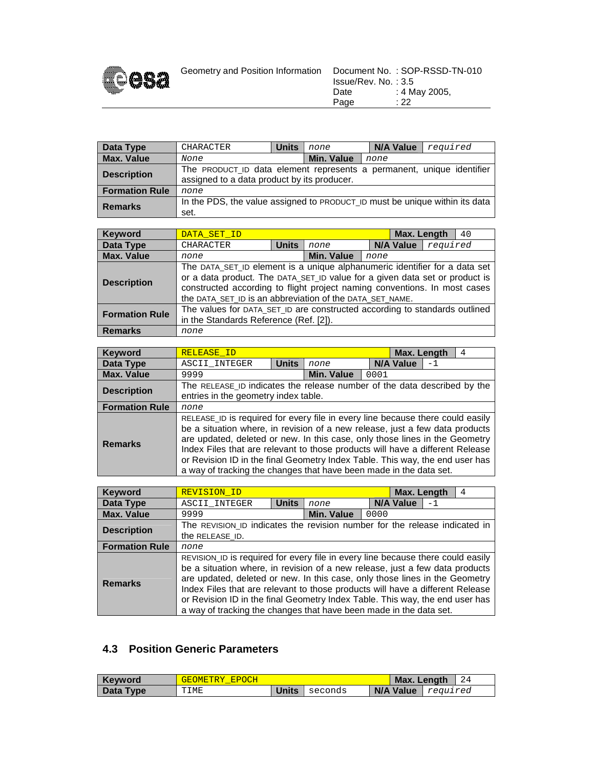

|                      | Document No.: SOP-RSSD-TN-010 |
|----------------------|-------------------------------|
| Issue/Rev. No. : 3.5 |                               |
| Date                 | : 4 May 2005,                 |
| Page                 | . 22                          |

| Data Type             | CHARACTER                                                                                                            | <b>Units</b> | none              | <b>N/A Value</b> | required |  |  |
|-----------------------|----------------------------------------------------------------------------------------------------------------------|--------------|-------------------|------------------|----------|--|--|
| <b>Max. Value</b>     | None                                                                                                                 |              | <b>Min. Value</b> | none             |          |  |  |
| <b>Description</b>    | The PRODUCT_ID data element represents a permanent, unique identifier<br>assigned to a data product by its producer. |              |                   |                  |          |  |  |
| <b>Formation Rule</b> | none                                                                                                                 |              |                   |                  |          |  |  |
| <b>Remarks</b>        | In the PDS, the value assigned to PRODUCT_ID must be unique within its data<br>set.                                  |              |                   |                  |          |  |  |

| Keyword               | DATA SET ID                                                                                                                                                                                                                                                                                        |              |            |                  | Max. Length | 40       |
|-----------------------|----------------------------------------------------------------------------------------------------------------------------------------------------------------------------------------------------------------------------------------------------------------------------------------------------|--------------|------------|------------------|-------------|----------|
| Data Type             | <b>CHARACTER</b>                                                                                                                                                                                                                                                                                   | <b>Units</b> | none       | <b>N/A Value</b> |             | required |
| <b>Max. Value</b>     | none                                                                                                                                                                                                                                                                                               |              | Min. Value | none             |             |          |
| <b>Description</b>    | The DATA_SET_ID element is a unique alphanumeric identifier for a data set<br>or a data product. The DATA_SET_ID value for a given data set or product is<br>constructed according to flight project naming conventions. In most cases<br>the DATA_SET_ID is an abbreviation of the DATA_SET_NAME. |              |            |                  |             |          |
| <b>Formation Rule</b> | The values for DATA_SET_ID are constructed according to standards outlined<br>in the Standards Reference (Ref. [2]).                                                                                                                                                                               |              |            |                  |             |          |
| Remarks               | none                                                                                                                                                                                                                                                                                               |              |            |                  |             |          |

| <b>Keyword</b>        | RELEASE ID                                                                                                                                                                                                                                                                                                                                                                                                                                                                           |              |            |                  | Max. Length | 4 |
|-----------------------|--------------------------------------------------------------------------------------------------------------------------------------------------------------------------------------------------------------------------------------------------------------------------------------------------------------------------------------------------------------------------------------------------------------------------------------------------------------------------------------|--------------|------------|------------------|-------------|---|
| Data Type             | ASCII INTEGER                                                                                                                                                                                                                                                                                                                                                                                                                                                                        | <b>Units</b> | none       | <b>N/A Value</b> | $-1$        |   |
| <b>Max. Value</b>     | 9999                                                                                                                                                                                                                                                                                                                                                                                                                                                                                 |              | Min. Value | 0001             |             |   |
| <b>Description</b>    | The RELEASE_ID indicates the release number of the data described by the<br>entries in the geometry index table.                                                                                                                                                                                                                                                                                                                                                                     |              |            |                  |             |   |
| <b>Formation Rule</b> | none                                                                                                                                                                                                                                                                                                                                                                                                                                                                                 |              |            |                  |             |   |
| <b>Remarks</b>        | RELEASE_ID is required for every file in every line because there could easily<br>be a situation where, in revision of a new release, just a few data products<br>are updated, deleted or new. In this case, only those lines in the Geometry<br>Index Files that are relevant to those products will have a different Release<br>or Revision ID in the final Geometry Index Table. This way, the end user has<br>a way of tracking the changes that have been made in the data set. |              |            |                  |             |   |

| Keyword               | REVISION ID                                                                                                                                                 |              |            |      | Max. Length      |      | 4 |
|-----------------------|-------------------------------------------------------------------------------------------------------------------------------------------------------------|--------------|------------|------|------------------|------|---|
| Data Type             | ASCII INTEGER                                                                                                                                               | <b>Units</b> | none       |      | <b>N/A Value</b> | $-1$ |   |
| <b>Max. Value</b>     | 9999                                                                                                                                                        |              | Min. Value | 0000 |                  |      |   |
| <b>Description</b>    | The REVISION_ID indicates the revision number for the release indicated in                                                                                  |              |            |      |                  |      |   |
|                       | the RELEASE ID.                                                                                                                                             |              |            |      |                  |      |   |
| <b>Formation Rule</b> | none                                                                                                                                                        |              |            |      |                  |      |   |
|                       | REVISION_ID is required for every file in every line because there could easily                                                                             |              |            |      |                  |      |   |
| <b>Remarks</b>        | be a situation where, in revision of a new release, just a few data products<br>are updated, deleted or new. In this case, only those lines in the Geometry |              |            |      |                  |      |   |
|                       | Index Files that are relevant to those products will have a different Release                                                                               |              |            |      |                  |      |   |
|                       | or Revision ID in the final Geometry Index Table. This way, the end user has                                                                                |              |            |      |                  |      |   |
|                       | a way of tracking the changes that have been made in the data set.                                                                                          |              |            |      |                  |      |   |

## **4.3 Position Generic Parameters**

| <b>Keyword</b> | EPOC'H<br><b>GEOMETRY</b> |              |         | Max. Length |          | 24 |
|----------------|---------------------------|--------------|---------|-------------|----------|----|
| Data Type      | TIME                      | <b>Units</b> | seconds | N/A Value   | reauired |    |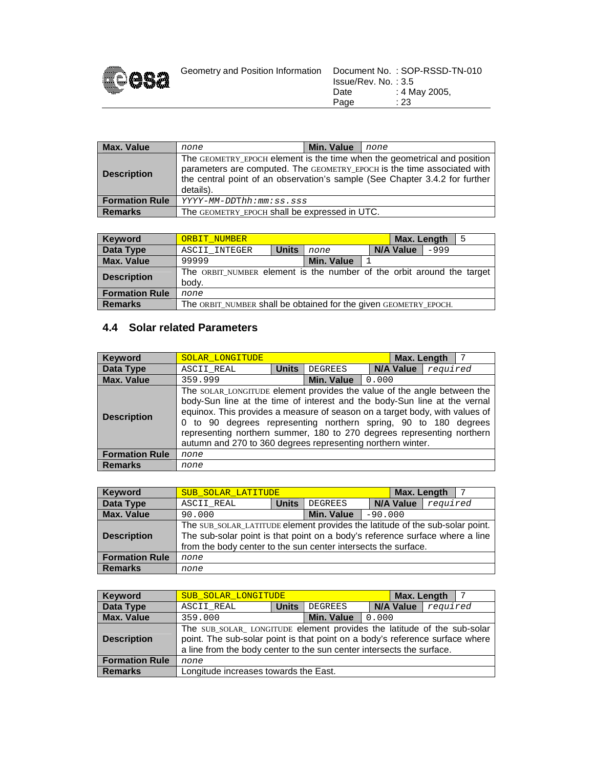

|                      | Document No.: SOP-RSSD-TN-010 |
|----------------------|-------------------------------|
| Issue/Rev. No. : 3.5 |                               |
| Date                 | : 4 May 2005,                 |
| Page                 | : 23                          |

| <b>Max. Value</b>     | none                                          | Min. Value | none                                                                                                                                                                                                                               |
|-----------------------|-----------------------------------------------|------------|------------------------------------------------------------------------------------------------------------------------------------------------------------------------------------------------------------------------------------|
| <b>Description</b>    | details).                                     |            | The GEOMETRY_EPOCH element is the time when the geometrical and position<br>parameters are computed. The GEOMETRY_EPOCH is the time associated with<br>the central point of an observation's sample (See Chapter 3.4.2 for further |
| <b>Formation Rule</b> | YYYY-MM-DDThh:mm:ss.sss                       |            |                                                                                                                                                                                                                                    |
| <b>Remarks</b>        | The GEOMETRY EPOCH shall be expressed in UTC. |            |                                                                                                                                                                                                                                    |

| <b>Keyword</b>        | ORBIT NUMBER                                                                   |              |            | Max. Length      |        | - 5 |
|-----------------------|--------------------------------------------------------------------------------|--------------|------------|------------------|--------|-----|
| Data Type             | ASCII INTEGER                                                                  | <b>Units</b> | none       | <b>N/A Value</b> | $-999$ |     |
| <b>Max. Value</b>     | 99999                                                                          |              | Min. Value |                  |        |     |
| <b>Description</b>    | The ORBIT NUMBER element is the number of the orbit around the target<br>body. |              |            |                  |        |     |
| <b>Formation Rule</b> | none                                                                           |              |            |                  |        |     |
| <b>Remarks</b>        | The ORBIT_NUMBER shall be obtained for the given GEOMETRY_EPOCH.               |              |            |                  |        |     |

## **4.4 Solar related Parameters**

| <b>Keyword</b>        | SOLAR LONGITUDE                                                                                                                                                                                                                                                                                                                                                                                                                                 |              |            |           | Max. Length<br>7 |
|-----------------------|-------------------------------------------------------------------------------------------------------------------------------------------------------------------------------------------------------------------------------------------------------------------------------------------------------------------------------------------------------------------------------------------------------------------------------------------------|--------------|------------|-----------|------------------|
| Data Type             | ASCII REAL                                                                                                                                                                                                                                                                                                                                                                                                                                      | <b>Units</b> | DEGREES    | N/A Value | required         |
| <b>Max. Value</b>     | 359.999                                                                                                                                                                                                                                                                                                                                                                                                                                         |              | Min. Value | 0.000     |                  |
| <b>Description</b>    | The SOLAR_LONGITUDE element provides the value of the angle between the<br>body-Sun line at the time of interest and the body-Sun line at the vernal<br>equinox. This provides a measure of season on a target body, with values of<br>0 to 90 degrees representing northern spring, 90 to 180 degrees<br>representing northern summer, 180 to 270 degrees representing northern<br>autumn and 270 to 360 degrees representing northern winter. |              |            |           |                  |
| <b>Formation Rule</b> | none                                                                                                                                                                                                                                                                                                                                                                                                                                            |              |            |           |                  |
| <b>Remarks</b>        | none                                                                                                                                                                                                                                                                                                                                                                                                                                            |              |            |           |                  |

| Keyword               | SUB SOLAR LATITUDE                                                                                                                                                                                                             |              |                |           | Max. Length<br>- 7 |
|-----------------------|--------------------------------------------------------------------------------------------------------------------------------------------------------------------------------------------------------------------------------|--------------|----------------|-----------|--------------------|
| Data Type             | ASCII REAL                                                                                                                                                                                                                     | <b>Units</b> | <b>DEGREES</b> |           | N/A Value required |
| <b>Max. Value</b>     | 90.000                                                                                                                                                                                                                         |              | Min. Value     | $-90.000$ |                    |
| <b>Description</b>    | The SUB_SOLAR_LATITUDE element provides the latitude of the sub-solar point.<br>The sub-solar point is that point on a body's reference surface where a line<br>from the body center to the sun center intersects the surface. |              |                |           |                    |
| <b>Formation Rule</b> | none                                                                                                                                                                                                                           |              |                |           |                    |
| <b>Remarks</b>        | none                                                                                                                                                                                                                           |              |                |           |                    |

| Keyword               | SUB SOLAR LONGITUDE                                                                                                                                                                                                              |              |            | Max. Length |           | 7        |  |
|-----------------------|----------------------------------------------------------------------------------------------------------------------------------------------------------------------------------------------------------------------------------|--------------|------------|-------------|-----------|----------|--|
| Data Type             | ASCII REAL                                                                                                                                                                                                                       | <b>Units</b> | DEGREES    |             | N/A Value | required |  |
| <b>Max. Value</b>     | 359.000                                                                                                                                                                                                                          |              | Min. Value | 0.000       |           |          |  |
| <b>Description</b>    | The SUB_SOLAR_ LONGITUDE element provides the latitude of the sub-solar<br>point. The sub-solar point is that point on a body's reference surface where<br>a line from the body center to the sun center intersects the surface. |              |            |             |           |          |  |
| <b>Formation Rule</b> | none                                                                                                                                                                                                                             |              |            |             |           |          |  |
| <b>Remarks</b>        | Longitude increases towards the East.                                                                                                                                                                                            |              |            |             |           |          |  |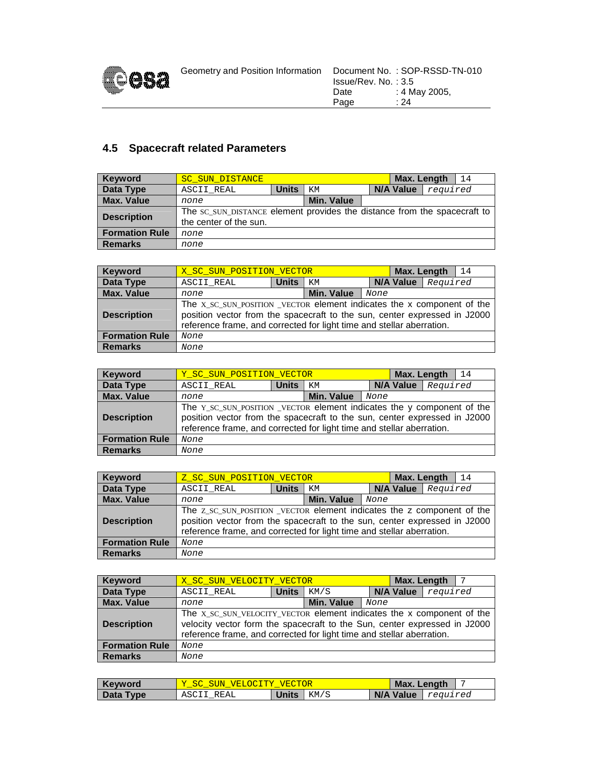

## **4.5 Spacecraft related Parameters**

| <b>Keyword</b>        | <b>SC SUN DISTANCE</b>                                                                             |              |                   | Max. Length | 14       |
|-----------------------|----------------------------------------------------------------------------------------------------|--------------|-------------------|-------------|----------|
| Data Type             | ASCII REAL                                                                                         | <b>Units</b> | КM                | N/A Value   | required |
| <b>Max. Value</b>     | none                                                                                               |              | <b>Min. Value</b> |             |          |
| <b>Description</b>    | The sc sun DISTANCE element provides the distance from the spacecraft to<br>the center of the sun. |              |                   |             |          |
| <b>Formation Rule</b> | none                                                                                               |              |                   |             |          |
| <b>Remarks</b>        | none                                                                                               |              |                   |             |          |

| <b>Keyword</b>        | X SC SUN POSITION VECTOR                                                                                                                                                                                                     |              |                   |                  | Max. Length | 14 |
|-----------------------|------------------------------------------------------------------------------------------------------------------------------------------------------------------------------------------------------------------------------|--------------|-------------------|------------------|-------------|----|
| Data Type             | ASCII REAL                                                                                                                                                                                                                   | <b>Units</b> | KМ                | <b>N/A Value</b> | Required    |    |
| <b>Max. Value</b>     | none                                                                                                                                                                                                                         |              | <b>Min. Value</b> | None             |             |    |
| <b>Description</b>    | The x_sc_sun_position _vector element indicates the x component of the<br>position vector from the spacecraft to the sun, center expressed in J2000<br>reference frame, and corrected for light time and stellar aberration. |              |                   |                  |             |    |
| <b>Formation Rule</b> | None                                                                                                                                                                                                                         |              |                   |                  |             |    |
| <b>Remarks</b>        | None                                                                                                                                                                                                                         |              |                   |                  |             |    |

| Keyword               | Y SC SUN POSITION VECTOR                                                                                                                                                                                                     |              |                   |           | Max. Length<br>  14 |
|-----------------------|------------------------------------------------------------------------------------------------------------------------------------------------------------------------------------------------------------------------------|--------------|-------------------|-----------|---------------------|
| Data Type             | ASCII REAL                                                                                                                                                                                                                   | <b>Units</b> | KМ                | N/A Value | Required            |
| <b>Max. Value</b>     | none                                                                                                                                                                                                                         |              | <b>Min. Value</b> | None      |                     |
| <b>Description</b>    | The Y_SC_SUN_POSITION _VECTOR element indicates the y component of the<br>position vector from the spacecraft to the sun, center expressed in J2000<br>reference frame, and corrected for light time and stellar aberration. |              |                   |           |                     |
| <b>Formation Rule</b> | None                                                                                                                                                                                                                         |              |                   |           |                     |
| <b>Remarks</b>        | None                                                                                                                                                                                                                         |              |                   |           |                     |

| <b>Keyword</b>        | Z SC SUN POSITION VECTOR                                                                                                                                                                                                     |              |                   | Max. Length      | 14       |
|-----------------------|------------------------------------------------------------------------------------------------------------------------------------------------------------------------------------------------------------------------------|--------------|-------------------|------------------|----------|
| Data Type             | ASCII REAL                                                                                                                                                                                                                   | <b>Units</b> | КM                | <b>N/A Value</b> | Required |
| <b>Max. Value</b>     | none                                                                                                                                                                                                                         |              | <b>Min. Value</b> | None             |          |
| <b>Description</b>    | The z_sc_sun_position _vector element indicates the z component of the<br>position vector from the spacecraft to the sun, center expressed in J2000<br>reference frame, and corrected for light time and stellar aberration. |              |                   |                  |          |
| <b>Formation Rule</b> | None                                                                                                                                                                                                                         |              |                   |                  |          |
| <b>Remarks</b>        | None                                                                                                                                                                                                                         |              |                   |                  |          |

| Keyword               | X SC SUN VELOCITY VECTOR                                                                                                                                                                                                    |              |            | Max. Length |          |
|-----------------------|-----------------------------------------------------------------------------------------------------------------------------------------------------------------------------------------------------------------------------|--------------|------------|-------------|----------|
| Data Type             | ASCII REAL                                                                                                                                                                                                                  | <b>Units</b> | KM/S       | N/A Value   | required |
| <b>Max. Value</b>     | none                                                                                                                                                                                                                        |              | Min. Value | None        |          |
| <b>Description</b>    | The X_SC_SUN_VELOCITY_VECTOR element indicates the x component of the<br>velocity vector form the spacecraft to the Sun, center expressed in J2000<br>reference frame, and corrected for light time and stellar aberration. |              |            |             |          |
| <b>Formation Rule</b> | None                                                                                                                                                                                                                        |              |            |             |          |
| <b>Remarks</b>        | None                                                                                                                                                                                                                        |              |            |             |          |

| Keyword   | <u> SC SUN VELOCITY VECTOR</u> |              |      | Max. Length |           |          |  |
|-----------|--------------------------------|--------------|------|-------------|-----------|----------|--|
| Data Type | ASCII REAL                     | <b>Units</b> | KM/S |             | N/A Value | required |  |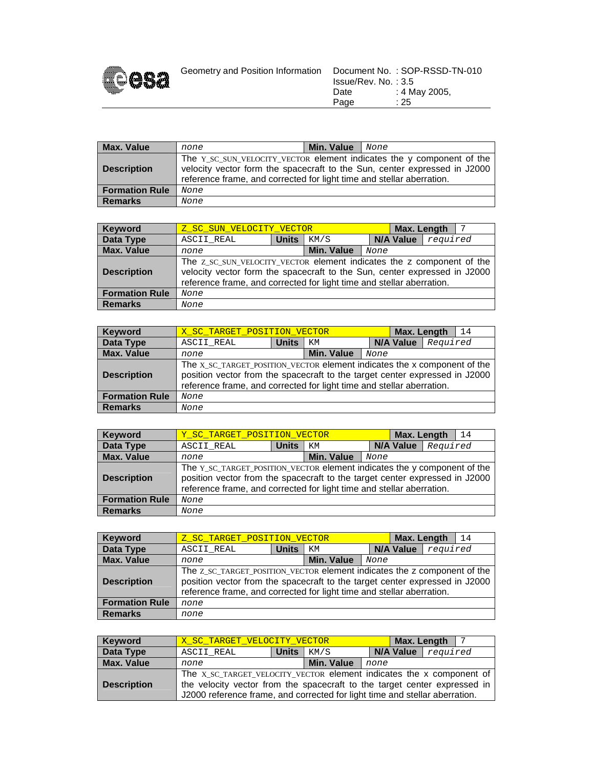

|                      | Document No.: SOP-RSSD-TN-010 |
|----------------------|-------------------------------|
| Issue/Rev. No. : 3.5 |                               |
| Date                 | : 4 May 2005,                 |
| Page                 | : 25                          |

| <b>Max. Value</b>     | none                                                                  | Min. Value | None                                                                                                                                               |
|-----------------------|-----------------------------------------------------------------------|------------|----------------------------------------------------------------------------------------------------------------------------------------------------|
| <b>Description</b>    | reference frame, and corrected for light time and stellar aberration. |            | The Y SC SUN VELOCITY VECTOR element indicates the y component of the<br>velocity vector form the spacecraft to the Sun, center expressed in J2000 |
| <b>Formation Rule</b> | None                                                                  |            |                                                                                                                                                    |
| <b>Remarks</b>        | None                                                                  |            |                                                                                                                                                    |

| <b>Keyword</b>        | Z SC SUN VELOCITY VECTOR                                                                                                                                                                                                    |              |                   | Max. Length | $\sqrt{7}$           |
|-----------------------|-----------------------------------------------------------------------------------------------------------------------------------------------------------------------------------------------------------------------------|--------------|-------------------|-------------|----------------------|
| Data Type             | ASCII REAL                                                                                                                                                                                                                  | <b>Units</b> | KM/S              |             | N/A Value   required |
| <b>Max. Value</b>     | none                                                                                                                                                                                                                        |              | <b>Min. Value</b> | None        |                      |
| <b>Description</b>    | The z_sc_sun_vELOCITY_VECTOR element indicates the z component of the<br>velocity vector form the spacecraft to the Sun, center expressed in J2000<br>reference frame, and corrected for light time and stellar aberration. |              |                   |             |                      |
| <b>Formation Rule</b> | None                                                                                                                                                                                                                        |              |                   |             |                      |
| <b>Remarks</b>        | None                                                                                                                                                                                                                        |              |                   |             |                      |

| <b>Keyword</b>        | X_SC_TARGET_POSITION_VECTOR                                                                                                                                                                                                      |              |                   | Max. Length      | 14       |
|-----------------------|----------------------------------------------------------------------------------------------------------------------------------------------------------------------------------------------------------------------------------|--------------|-------------------|------------------|----------|
| Data Type             | ASCII REAL                                                                                                                                                                                                                       | <b>Units</b> | KМ                | <b>N/A Value</b> | Required |
| <b>Max. Value</b>     | none                                                                                                                                                                                                                             |              | <b>Min. Value</b> | None             |          |
| <b>Description</b>    | The X_SC_TARGET_POSITION_VECTOR element indicates the x component of the<br>position vector from the spacecraft to the target center expressed in J2000<br>reference frame, and corrected for light time and stellar aberration. |              |                   |                  |          |
| <b>Formation Rule</b> | None                                                                                                                                                                                                                             |              |                   |                  |          |
| <b>Remarks</b>        | None                                                                                                                                                                                                                             |              |                   |                  |          |

| <b>Keyword</b>        | Y SC TARGET POSITION VECTOR                                                                                                                                                                                                      |              |                   | Max. Length | 14       |
|-----------------------|----------------------------------------------------------------------------------------------------------------------------------------------------------------------------------------------------------------------------------|--------------|-------------------|-------------|----------|
| Data Type             | ASCII REAL                                                                                                                                                                                                                       | <b>Units</b> | КM                | N/A Value   | Required |
| <b>Max. Value</b>     | none                                                                                                                                                                                                                             |              | <b>Min. Value</b> | None        |          |
| <b>Description</b>    | The Y_SC_TARGET_POSITION_VECTOR element indicates the y component of the<br>position vector from the spacecraft to the target center expressed in J2000<br>reference frame, and corrected for light time and stellar aberration. |              |                   |             |          |
| <b>Formation Rule</b> | None                                                                                                                                                                                                                             |              |                   |             |          |
| <b>Remarks</b>        | None                                                                                                                                                                                                                             |              |                   |             |          |

| Keyword               | Z SC TARGET POSITION VECTOR                                                                                                                                                                                                      |              | Max. Length<br>14 |                  |          |  |
|-----------------------|----------------------------------------------------------------------------------------------------------------------------------------------------------------------------------------------------------------------------------|--------------|-------------------|------------------|----------|--|
| Data Type             | ASCII REAL                                                                                                                                                                                                                       | <b>Units</b> | KM                | <b>N/A Value</b> | required |  |
| <b>Max. Value</b>     | none                                                                                                                                                                                                                             |              | <b>Min. Value</b> | None             |          |  |
| <b>Description</b>    | The z sc_TARGET_POSITION_VECTOR_element indicates the z component of the<br>position vector from the spacecraft to the target center expressed in J2000<br>reference frame, and corrected for light time and stellar aberration. |              |                   |                  |          |  |
| <b>Formation Rule</b> | none                                                                                                                                                                                                                             |              |                   |                  |          |  |
| <b>Remarks</b>        | none                                                                                                                                                                                                                             |              |                   |                  |          |  |

| Keyword            | X SC TARGET VELOCITY VECTOR                                                 |                                                                      |                   |      | Max. Length 7             |  |  |
|--------------------|-----------------------------------------------------------------------------|----------------------------------------------------------------------|-------------------|------|---------------------------|--|--|
| Data Type          | ASCII REAL                                                                  | <b>Units</b>                                                         | KM/S              |      | <b>N/A Value</b> required |  |  |
| <b>Max. Value</b>  | none                                                                        |                                                                      | <b>Min. Value</b> | none |                           |  |  |
|                    |                                                                             | The X_SC_TARGET_VELOCITY_VECTOR element indicates the x component of |                   |      |                           |  |  |
| <b>Description</b> | the velocity vector from the spacecraft to the target center expressed in   |                                                                      |                   |      |                           |  |  |
|                    | J2000 reference frame, and corrected for light time and stellar aberration. |                                                                      |                   |      |                           |  |  |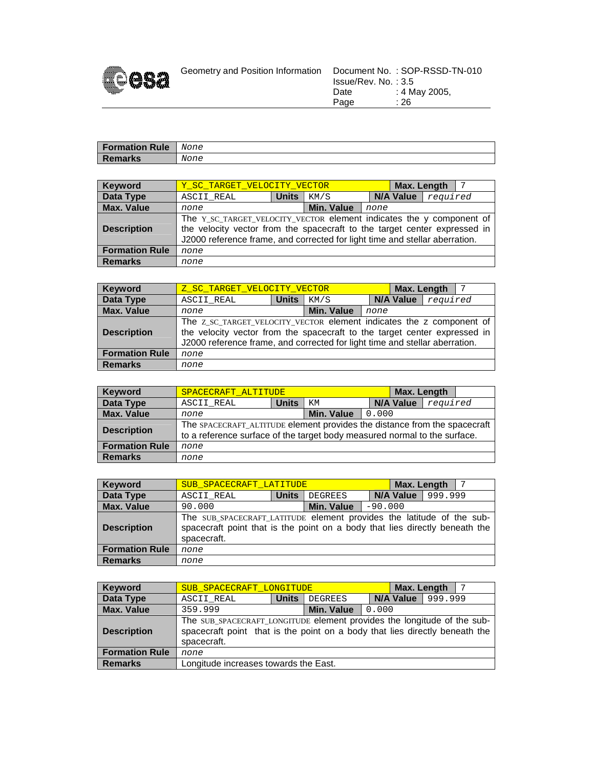

Geometry and Position Information Document No.

| <b>Formation Rule</b> | None |
|-----------------------|------|
| Remarks               | None |

| Keyword               | Y SC TARGET VELOCITY VECTOR                                                                                                                                                                                                      |              | Max. Length       | 7                |          |
|-----------------------|----------------------------------------------------------------------------------------------------------------------------------------------------------------------------------------------------------------------------------|--------------|-------------------|------------------|----------|
| Data Type             | ASCII REAL                                                                                                                                                                                                                       | <b>Units</b> | KM/S              | <b>N/A Value</b> | required |
| <b>Max. Value</b>     | none                                                                                                                                                                                                                             |              | <b>Min. Value</b> | none             |          |
| <b>Description</b>    | The Y_SC_TARGET_VELOCITY_VECTOR element indicates the y component of<br>the velocity vector from the spacecraft to the target center expressed in<br>J2000 reference frame, and corrected for light time and stellar aberration. |              |                   |                  |          |
| <b>Formation Rule</b> | none                                                                                                                                                                                                                             |              |                   |                  |          |
| <b>Remarks</b>        | none                                                                                                                                                                                                                             |              |                   |                  |          |

| <b>Keyword</b>        | Z SC TARGET VELOCITY VECTOR                                                                                                                                                                                                      |              |                   | Max. Length      | 7               |
|-----------------------|----------------------------------------------------------------------------------------------------------------------------------------------------------------------------------------------------------------------------------|--------------|-------------------|------------------|-----------------|
| Data Type             | ASCII REAL                                                                                                                                                                                                                       | <b>Units</b> | KM/S              | <b>N/A Value</b> | <i>required</i> |
| <b>Max. Value</b>     | none                                                                                                                                                                                                                             |              | <b>Min. Value</b> | none             |                 |
| <b>Description</b>    | The Z_SC_TARGET_VELOCITY_VECTOR element indicates the z component of<br>the velocity vector from the spacecraft to the target center expressed in<br>J2000 reference frame, and corrected for light time and stellar aberration. |              |                   |                  |                 |
| <b>Formation Rule</b> | none                                                                                                                                                                                                                             |              |                   |                  |                 |
| <b>Remarks</b>        | none                                                                                                                                                                                                                             |              |                   |                  |                 |

| Keyword               | SPACECRAFT ALTITUDE                                                                                                                                    |              | Max. Length       |           |                      |
|-----------------------|--------------------------------------------------------------------------------------------------------------------------------------------------------|--------------|-------------------|-----------|----------------------|
| Data Type             | ASCII REAL                                                                                                                                             | <b>Units</b> | КM                | N/A Value | $\parallel$ required |
| <b>Max. Value</b>     | none                                                                                                                                                   |              | <b>Min. Value</b> | 0.000     |                      |
| <b>Description</b>    | The SPACECRAFT_ALTITUDE element provides the distance from the spacecraft<br>to a reference surface of the target body measured normal to the surface. |              |                   |           |                      |
| <b>Formation Rule</b> | none                                                                                                                                                   |              |                   |           |                      |
| <b>Remarks</b>        | none                                                                                                                                                   |              |                   |           |                      |

| Keyword               | SUB SPACECRAFT LATITUDE |                                                                                                                                                      |                   | Max. Length |                     | $\overline{7}$ |  |
|-----------------------|-------------------------|------------------------------------------------------------------------------------------------------------------------------------------------------|-------------------|-------------|---------------------|----------------|--|
| Data Type             | ASCII REAL              | <b>Units</b>                                                                                                                                         | DEGREES           |             | N/A Value   999.999 |                |  |
| <b>Max. Value</b>     | 90.000                  |                                                                                                                                                      | <b>Min. Value</b> | $-90.000$   |                     |                |  |
| <b>Description</b>    | spacecraft.             | The SUB_SPACECRAFT_LATITUDE element provides the latitude of the sub-<br>spacecraft point that is the point on a body that lies directly beneath the |                   |             |                     |                |  |
| <b>Formation Rule</b> | none                    |                                                                                                                                                      |                   |             |                     |                |  |
| <b>Remarks</b>        | none                    |                                                                                                                                                      |                   |             |                     |                |  |

| <b>Keyword</b>        | SUB SPACECRAFT LONGITUDE              |                                                                                                                                                        |                |           | Max. Length |  |  |
|-----------------------|---------------------------------------|--------------------------------------------------------------------------------------------------------------------------------------------------------|----------------|-----------|-------------|--|--|
| Data Type             | ASCII REAL                            | <b>Units</b>                                                                                                                                           | <b>DEGREES</b> | N/A Value | 999.999     |  |  |
| <b>Max. Value</b>     | 359.999                               |                                                                                                                                                        | Min. Value     | 0.000     |             |  |  |
| <b>Description</b>    | spacecraft.                           | The SUB_SPACECRAFT_LONGITUDE element provides the longitude of the sub-<br>spacecraft point that is the point on a body that lies directly beneath the |                |           |             |  |  |
| <b>Formation Rule</b> | none                                  |                                                                                                                                                        |                |           |             |  |  |
| <b>Remarks</b>        | Longitude increases towards the East. |                                                                                                                                                        |                |           |             |  |  |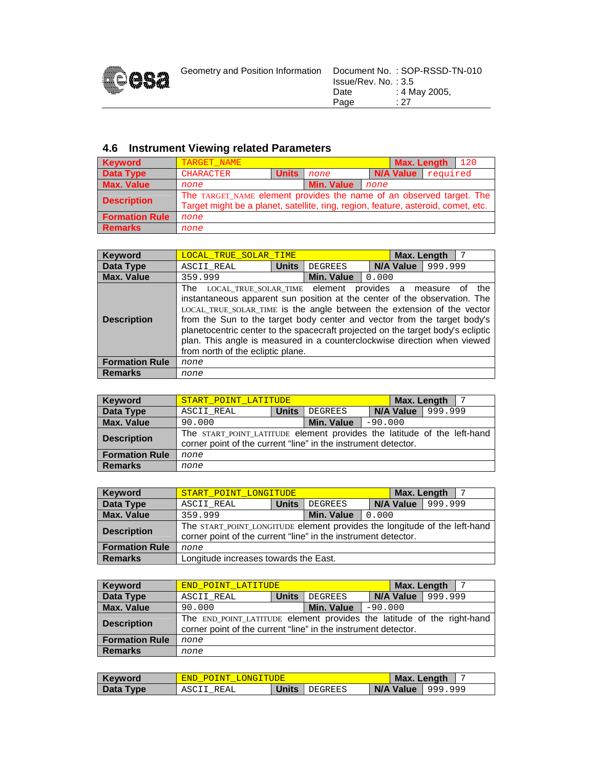

|                      | Document No.: SOP-RSSD-TN-010 |
|----------------------|-------------------------------|
| Issue/Rev. No. : 3.5 |                               |
| Date                 | : 4 May 2005,                 |
| Page                 | : 27                          |

## **4.6 Instrument Viewing related Parameters**

| Keyword               | <b>TARGET NAME</b>                                                                                                                                        |              |                   |      | Max. Length<br>120        |
|-----------------------|-----------------------------------------------------------------------------------------------------------------------------------------------------------|--------------|-------------------|------|---------------------------|
| <b>Data Type</b>      | <b>CHARACTER</b>                                                                                                                                          | <b>Units</b> | none              |      | <b>N/A Value</b> required |
| <b>Max. Value</b>     | none                                                                                                                                                      |              | <b>Min. Value</b> | none |                           |
| <b>Description</b>    | The TARGET NAME element provides the name of an observed target. The<br>Target might be a planet, satellite, ring, region, feature, asteroid, comet, etc. |              |                   |      |                           |
| <b>Formation Rule</b> | none                                                                                                                                                      |              |                   |      |                           |
| Remarks               | none                                                                                                                                                      |              |                   |      |                           |

| <b>Keyword</b>        | LOCAL TRUE SOLAR TIME                                                                                                                                                                                                                                                                                                                                                                                                                                                       |              |                |                    | Max. Length |
|-----------------------|-----------------------------------------------------------------------------------------------------------------------------------------------------------------------------------------------------------------------------------------------------------------------------------------------------------------------------------------------------------------------------------------------------------------------------------------------------------------------------|--------------|----------------|--------------------|-------------|
| Data Type             | ASCII REAL                                                                                                                                                                                                                                                                                                                                                                                                                                                                  | <b>Units</b> | <b>DEGREES</b> | <b>N/A Value</b>   | 999.999     |
| <b>Max. Value</b>     | 359.999                                                                                                                                                                                                                                                                                                                                                                                                                                                                     |              | Min. Value     | 0.000              |             |
| <b>Description</b>    | LOCAL_TRUE_SOLAR_TIME element<br>The<br>instantaneous apparent sun position at the center of the observation. The<br>LOCAL_TRUE_SOLAR_TIME is the angle between the extension of the vector<br>from the Sun to the target body center and vector from the target body's<br>planetocentric center to the spacecraft projected on the target body's ecliptic<br>plan. This angle is measured in a counterclockwise direction when viewed<br>from north of the ecliptic plane. |              |                | provides a measure | the<br>οt   |
| <b>Formation Rule</b> | none                                                                                                                                                                                                                                                                                                                                                                                                                                                                        |              |                |                    |             |
| <b>Remarks</b>        | none                                                                                                                                                                                                                                                                                                                                                                                                                                                                        |              |                |                    |             |

| <b>Keyword</b>        | START POINT LATITUDE                                                                                                                      |              |                   |                          | Max. Length<br>l 7 |
|-----------------------|-------------------------------------------------------------------------------------------------------------------------------------------|--------------|-------------------|--------------------------|--------------------|
| Data Type             | ASCII REAL                                                                                                                                | <b>Units</b> | <b>DEGREES</b>    | <b>N/A Value</b> 999.999 |                    |
| <b>Max. Value</b>     | 90.000                                                                                                                                    |              | <b>Min. Value</b> | $-90.000$                |                    |
| <b>Description</b>    | The START_POINT_LATITUDE element provides the latitude of the left-hand<br>corner point of the current "line" in the instrument detector. |              |                   |                          |                    |
| <b>Formation Rule</b> | none                                                                                                                                      |              |                   |                          |                    |
| <b>Remarks</b>        | none                                                                                                                                      |              |                   |                          |                    |

| <b>Keyword</b>        | START POINT LONGITUDE                                                                                                                       |              |                   | Max. Length<br>I 7       |  |  |
|-----------------------|---------------------------------------------------------------------------------------------------------------------------------------------|--------------|-------------------|--------------------------|--|--|
| Data Type             | ASCII REAL                                                                                                                                  | <b>Units</b> | DEGREES           | <b>N/A Value</b> 999.999 |  |  |
| <b>Max. Value</b>     | 359.999                                                                                                                                     |              | <b>Min. Value</b> | 0.000                    |  |  |
| <b>Description</b>    | The START_POINT_LONGITUDE element provides the longitude of the left-hand<br>corner point of the current "line" in the instrument detector. |              |                   |                          |  |  |
| <b>Formation Rule</b> | none                                                                                                                                        |              |                   |                          |  |  |
| <b>Remarks</b>        | Longitude increases towards the East.                                                                                                       |              |                   |                          |  |  |

| Keyword               | END POINT LATITUDE                                                                                                                       |              |                   | Max. Length | 7       |
|-----------------------|------------------------------------------------------------------------------------------------------------------------------------------|--------------|-------------------|-------------|---------|
| Data Type             | ASCII REAL                                                                                                                               | <b>Units</b> | DEGREES           | N/A Value   | 999.999 |
| <b>Max. Value</b>     | 90.000                                                                                                                                   |              | <b>Min. Value</b> | $-90.000$   |         |
| <b>Description</b>    | The END_POINT_LATITUDE element provides the latitude of the right-hand<br>corner point of the current "line" in the instrument detector. |              |                   |             |         |
| <b>Formation Rule</b> | none                                                                                                                                     |              |                   |             |         |
| Remarks               | none                                                                                                                                     |              |                   |             |         |

| <b>Keyword</b> | POINT LONGITUDE<br>END. |       |         | Max. Length |  |                          |  |
|----------------|-------------------------|-------|---------|-------------|--|--------------------------|--|
| Data Type      | ASCII REAL              | Units | DEGREES |             |  | <b>N/A Value</b> 999.999 |  |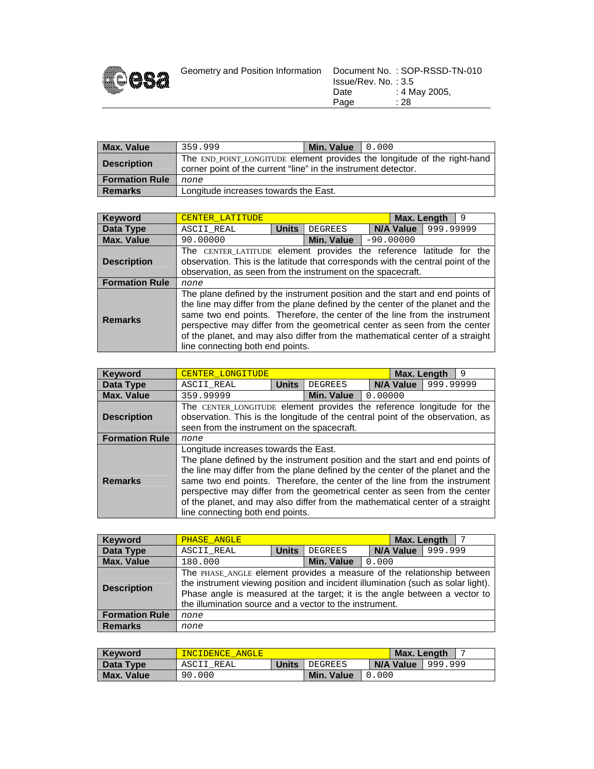

|                      | Document No.: SOP-RSSD-TN-010 |
|----------------------|-------------------------------|
| Issue/Rev. No. : 3.5 |                               |
| Date                 | : 4 May 2005,                 |
| Page                 | : 28                          |

| <b>Max. Value</b>     | 359.999                                                        | Min. Value $\vert 0.000 \rangle$ |                                                                          |
|-----------------------|----------------------------------------------------------------|----------------------------------|--------------------------------------------------------------------------|
| <b>Description</b>    | corner point of the current "line" in the instrument detector. |                                  | The END_POINT_LONGITUDE element provides the longitude of the right-hand |
| <b>Formation Rule</b> | none                                                           |                                  |                                                                          |
| Remarks               | Longitude increases towards the East.                          |                                  |                                                                          |

| <b>Keyword</b>        | CENTER LATITUDE                                                                                                                                                                                                                                                                                                                                                                                                                                 |              |                |             | Max. Length | 9 |
|-----------------------|-------------------------------------------------------------------------------------------------------------------------------------------------------------------------------------------------------------------------------------------------------------------------------------------------------------------------------------------------------------------------------------------------------------------------------------------------|--------------|----------------|-------------|-------------|---|
| Data Type             | ASCII REAL                                                                                                                                                                                                                                                                                                                                                                                                                                      | <b>Units</b> | <b>DEGREES</b> | N/A Value   | 999.99999   |   |
| <b>Max. Value</b>     | 90.00000                                                                                                                                                                                                                                                                                                                                                                                                                                        |              | Min. Value     | $-90.00000$ |             |   |
| <b>Description</b>    | The CENTER_LATITUDE element provides the reference latitude for the<br>observation. This is the latitude that corresponds with the central point of the<br>observation, as seen from the instrument on the spacecraft.                                                                                                                                                                                                                          |              |                |             |             |   |
| <b>Formation Rule</b> | none                                                                                                                                                                                                                                                                                                                                                                                                                                            |              |                |             |             |   |
| <b>Remarks</b>        | The plane defined by the instrument position and the start and end points of<br>the line may differ from the plane defined by the center of the planet and the<br>same two end points. Therefore, the center of the line from the instrument<br>perspective may differ from the geometrical center as seen from the center<br>of the planet, and may also differ from the mathematical center of a straight<br>line connecting both end points. |              |                |             |             |   |

| <b>Keyword</b>        | CENTER LONGITUDE                                                                                                                                                                                                                                                                                                                                                                                                                                                                         |              |                |         | Max. Length |           | 9 |
|-----------------------|------------------------------------------------------------------------------------------------------------------------------------------------------------------------------------------------------------------------------------------------------------------------------------------------------------------------------------------------------------------------------------------------------------------------------------------------------------------------------------------|--------------|----------------|---------|-------------|-----------|---|
| Data Type             | ASCII REAL                                                                                                                                                                                                                                                                                                                                                                                                                                                                               | <b>Units</b> | <b>DEGREES</b> |         | N/A Value   | 999.99999 |   |
| <b>Max. Value</b>     | 359.99999                                                                                                                                                                                                                                                                                                                                                                                                                                                                                |              | Min. Value     | 0.00000 |             |           |   |
| <b>Description</b>    | The CENTER_LONGITUDE element provides the reference longitude for the<br>observation. This is the longitude of the central point of the observation, as<br>seen from the instrument on the spacecraft.                                                                                                                                                                                                                                                                                   |              |                |         |             |           |   |
| <b>Formation Rule</b> | none                                                                                                                                                                                                                                                                                                                                                                                                                                                                                     |              |                |         |             |           |   |
| <b>Remarks</b>        | Longitude increases towards the East.<br>The plane defined by the instrument position and the start and end points of<br>the line may differ from the plane defined by the center of the planet and the<br>same two end points. Therefore, the center of the line from the instrument<br>perspective may differ from the geometrical center as seen from the center<br>of the planet, and may also differ from the mathematical center of a straight<br>line connecting both end points. |              |                |         |             |           |   |

| Keyword               | <b>PHASE ANGLE</b>                                                                                                                                                                                                                                                                                  |              |                   | Max. Length |         |
|-----------------------|-----------------------------------------------------------------------------------------------------------------------------------------------------------------------------------------------------------------------------------------------------------------------------------------------------|--------------|-------------------|-------------|---------|
| Data Type             | ASCII REAL                                                                                                                                                                                                                                                                                          | <b>Units</b> | <b>DEGREES</b>    | N/A Value   | 999.999 |
| <b>Max. Value</b>     | 180.000                                                                                                                                                                                                                                                                                             |              | <b>Min. Value</b> | 0.000       |         |
| <b>Description</b>    | The PHASE_ANGLE element provides a measure of the relationship between<br>the instrument viewing position and incident illumination (such as solar light).<br>Phase angle is measured at the target; it is the angle between a vector to<br>the illumination source and a vector to the instrument. |              |                   |             |         |
| <b>Formation Rule</b> | none                                                                                                                                                                                                                                                                                                |              |                   |             |         |
| <b>Remarks</b>        | none                                                                                                                                                                                                                                                                                                |              |                   |             |         |

| Keyword           | INCIDENCE ANGLE |              |            | Max. Length              |  |
|-------------------|-----------------|--------------|------------|--------------------------|--|
| Data Type         | ASCII REAL      | <b>Units</b> | DEGREES    | <b>N/A Value</b> 999.999 |  |
| <b>Max. Value</b> | 90.000          |              | Min. Value | 0.000                    |  |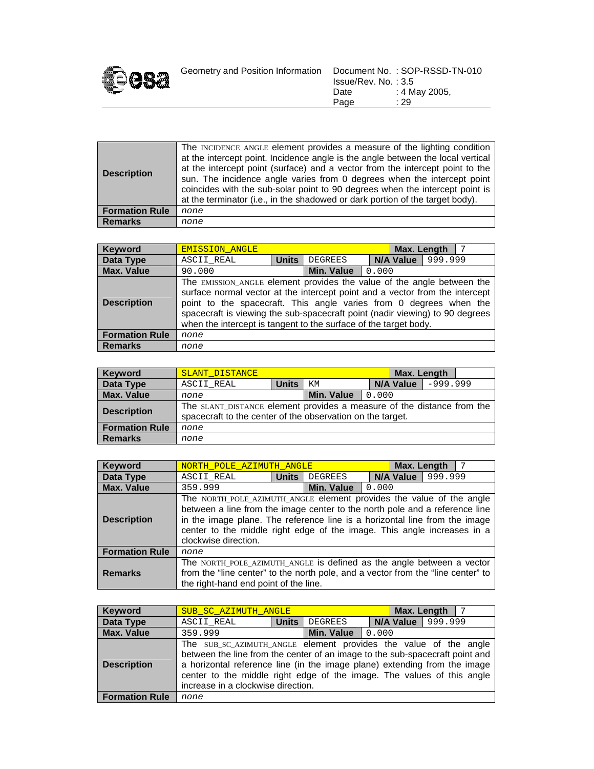

Geometry and Position Information Document No.

| <b>Description</b>    | The INCIDENCE ANGLE element provides a measure of the lighting condition<br>at the intercept point. Incidence angle is the angle between the local vertical<br>at the intercept point (surface) and a vector from the intercept point to the<br>sun. The incidence angle varies from 0 degrees when the intercept point<br>coincides with the sub-solar point to 90 degrees when the intercept point is<br>at the terminator (i.e., in the shadowed or dark portion of the target body). |
|-----------------------|------------------------------------------------------------------------------------------------------------------------------------------------------------------------------------------------------------------------------------------------------------------------------------------------------------------------------------------------------------------------------------------------------------------------------------------------------------------------------------------|
| <b>Formation Rule</b> | none                                                                                                                                                                                                                                                                                                                                                                                                                                                                                     |
| <b>Remarks</b>        | none                                                                                                                                                                                                                                                                                                                                                                                                                                                                                     |

| Keyword               | <b>EMISSION ANGLE</b>                                                                                                                                                                                                                                                                                                                                                            |              |                |                  | Max. Length<br>$-7$ |
|-----------------------|----------------------------------------------------------------------------------------------------------------------------------------------------------------------------------------------------------------------------------------------------------------------------------------------------------------------------------------------------------------------------------|--------------|----------------|------------------|---------------------|
| Data Type             | ASCII REAL                                                                                                                                                                                                                                                                                                                                                                       | <b>Units</b> | <b>DEGREES</b> | <b>N/A Value</b> | 999.999             |
| <b>Max. Value</b>     | 90.000                                                                                                                                                                                                                                                                                                                                                                           |              | Min. Value     | 0.000            |                     |
| <b>Description</b>    | The EMISSION_ANGLE element provides the value of the angle between the<br>surface normal vector at the intercept point and a vector from the intercept<br>point to the spacecraft. This angle varies from 0 degrees when the<br>spacecraft is viewing the sub-spacecraft point (nadir viewing) to 90 degrees<br>when the intercept is tangent to the surface of the target body. |              |                |                  |                     |
| <b>Formation Rule</b> | none                                                                                                                                                                                                                                                                                                                                                                             |              |                |                  |                     |
| <b>Remarks</b>        | none                                                                                                                                                                                                                                                                                                                                                                             |              |                |                  |                     |

| <b>Keyword</b>        | SLANT DISTANCE                                                                                                                       |              |                                  | Max. Length                 |
|-----------------------|--------------------------------------------------------------------------------------------------------------------------------------|--------------|----------------------------------|-----------------------------|
| Data Type             | ASCII REAL                                                                                                                           | <b>Units</b> | КM                               | <b>N/A Value</b> $-999.999$ |
| <b>Max. Value</b>     | none                                                                                                                                 |              | Min. Value $\vert 0.000 \rangle$ |                             |
| <b>Description</b>    | The SLANT_DISTANCE element provides a measure of the distance from the<br>spacecraft to the center of the observation on the target. |              |                                  |                             |
| <b>Formation Rule</b> | none                                                                                                                                 |              |                                  |                             |
| <b>Remarks</b>        | none                                                                                                                                 |              |                                  |                             |

| <b>Keyword</b>        | NORTH POLE AZIMUTH ANGLE                                                                                                                                                                                                                                                                                                             |              |            | Max. Length |           |         |  |
|-----------------------|--------------------------------------------------------------------------------------------------------------------------------------------------------------------------------------------------------------------------------------------------------------------------------------------------------------------------------------|--------------|------------|-------------|-----------|---------|--|
| Data Type             | ASCII REAL                                                                                                                                                                                                                                                                                                                           | <b>Units</b> | DEGREES    |             | N/A Value | 999.999 |  |
| <b>Max. Value</b>     | 359.999                                                                                                                                                                                                                                                                                                                              |              | Min. Value | 0.000       |           |         |  |
| <b>Description</b>    | The NORTH_POLE_AZIMUTH_ANGLE element provides the value of the angle<br>between a line from the image center to the north pole and a reference line<br>in the image plane. The reference line is a horizontal line from the image<br>center to the middle right edge of the image. This angle increases in a<br>clockwise direction. |              |            |             |           |         |  |
| <b>Formation Rule</b> | none                                                                                                                                                                                                                                                                                                                                 |              |            |             |           |         |  |
| <b>Remarks</b>        | The NORTH_POLE_AZIMUTH_ANGLE is defined as the angle between a vector<br>from the "line center" to the north pole, and a vector from the "line center" to<br>the right-hand end point of the line.                                                                                                                                   |              |            |             |           |         |  |

| Keyword               | SUB SC AZIMUTH ANGLE                                                                                                                                                                                                                                                                                                                          |              |            | Max. Length $ 7$         |  |  |
|-----------------------|-----------------------------------------------------------------------------------------------------------------------------------------------------------------------------------------------------------------------------------------------------------------------------------------------------------------------------------------------|--------------|------------|--------------------------|--|--|
| Data Type             | ASCII REAL                                                                                                                                                                                                                                                                                                                                    | <b>Units</b> | DEGREES    | <b>N/A Value</b> 999.999 |  |  |
| <b>Max. Value</b>     | 359.999                                                                                                                                                                                                                                                                                                                                       |              | Min. Value | 0.000                    |  |  |
| <b>Description</b>    | The SUB_SC_AZIMUTH_ANGLE element provides the value of the angle<br>between the line from the center of an image to the sub-spacecraft point and<br>a horizontal reference line (in the image plane) extending from the image<br>center to the middle right edge of the image. The values of this angle<br>increase in a clockwise direction. |              |            |                          |  |  |
| <b>Formation Rule</b> | none                                                                                                                                                                                                                                                                                                                                          |              |            |                          |  |  |